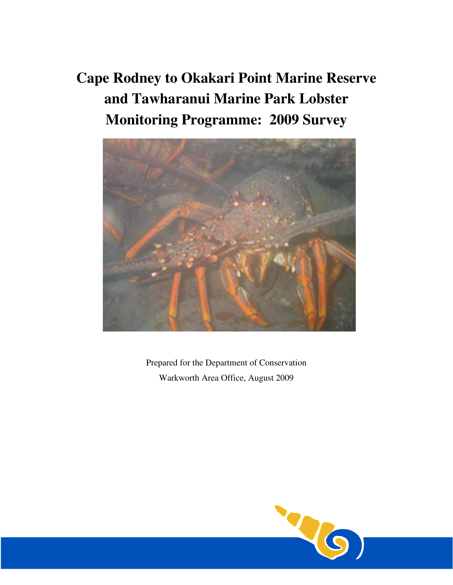# **Cape Rodney to Okakari Point Marine Reserve and Tawharanui Marine Park Lobster Monitoring Programme: 2009 Survey**



Prepared for the Department of Conservation Warkworth Area Office, August 2009

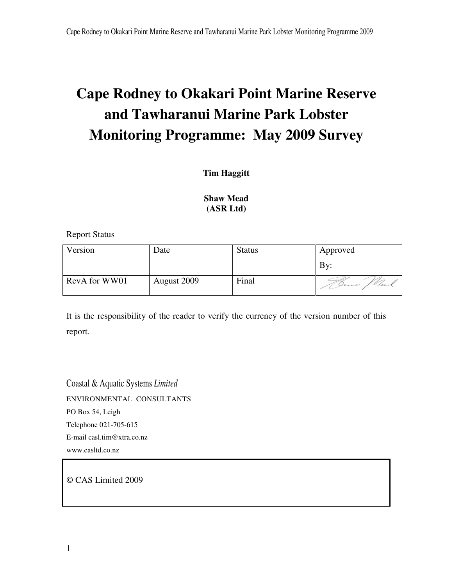# **Cape Rodney to Okakari Point Marine Reserve and Tawharanui Marine Park Lobster Monitoring Programme: May 2009 Survey**

## **Tim Haggitt**

## **Shaw Mead (ASR Ltd)**

Report Status

| Version       | Date        | <b>Status</b> | Approved |
|---------------|-------------|---------------|----------|
|               |             |               | By:      |
| RevA for WW01 | August 2009 | Final         | Inns     |

It is the responsibility of the reader to verify the currency of the version number of this report.

Coastal & Aquatic Systems *Limited* ENVIRONMENTAL CONSULTANTS PO Box 54, Leigh Telephone 021-705-615 E-mail casl.tim@xtra.co.nz www.casltd.co.nz

© CAS Limited 2009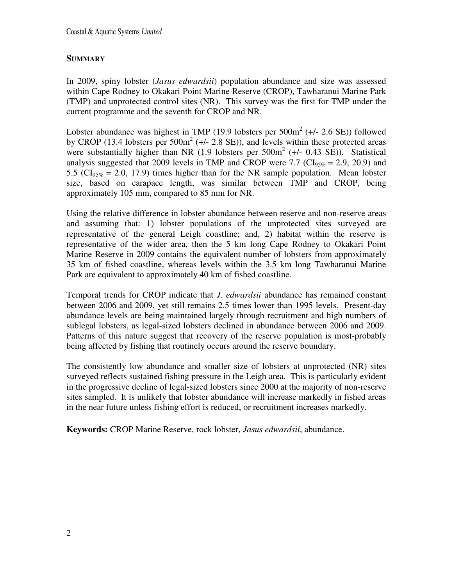#### **SUMMARY**

In 2009, spiny lobster (*Jasus edwardsii*) population abundance and size was assessed within Cape Rodney to Okakari Point Marine Reserve (CROP), Tawharanui Marine Park (TMP) and unprotected control sites (NR). This survey was the first for TMP under the current programme and the seventh for CROP and NR.

Lobster abundance was highest in TMP (19.9 lobsters per  $500m^2$  (+/- 2.6 SE)) followed by CROP (13.4 lobsters per  $500m^2$  (+/- 2.8 SE)), and levels within these protected areas were substantially higher than NR  $(1.9 \text{ lobsters per } 500 \text{m}^2 (+/- 0.43 \text{ SE}))$ . Statistical analysis suggested that 2009 levels in TMP and CROP were 7.7 ( $CI<sub>95%</sub> = 2.9, 20.9$ ) and 5.5 ( $CI<sub>95%</sub> = 2.0, 17.9$ ) times higher than for the NR sample population. Mean lobster size, based on carapace length, was similar between TMP and CROP, being approximately 105 mm, compared to 85 mm for NR.

Using the relative difference in lobster abundance between reserve and non-reserve areas and assuming that: 1) lobster populations of the unprotected sites surveyed are representative of the general Leigh coastline; and, 2) habitat within the reserve is representative of the wider area, then the 5 km long Cape Rodney to Okakari Point Marine Reserve in 2009 contains the equivalent number of lobsters from approximately 35 km of fished coastline, whereas levels within the 3.5 km long Tawharanui Marine Park are equivalent to approximately 40 km of fished coastline.

Temporal trends for CROP indicate that *J. edwardsii* abundance has remained constant between 2006 and 2009, yet still remains 2.5 times lower than 1995 levels. Present-day abundance levels are being maintained largely through recruitment and high numbers of sublegal lobsters, as legal-sized lobsters declined in abundance between 2006 and 2009. Patterns of this nature suggest that recovery of the reserve population is most-probably being affected by fishing that routinely occurs around the reserve boundary.

The consistently low abundance and smaller size of lobsters at unprotected (NR) sites surveyed reflects sustained fishing pressure in the Leigh area. This is particularly evident in the progressive decline of legal-sized lobsters since 2000 at the majority of non-reserve sites sampled. It is unlikely that lobster abundance will increase markedly in fished areas in the near future unless fishing effort is reduced, or recruitment increases markedly.

**Keywords:** CROP Marine Reserve, rock lobster, *Jasus edwardsii*, abundance.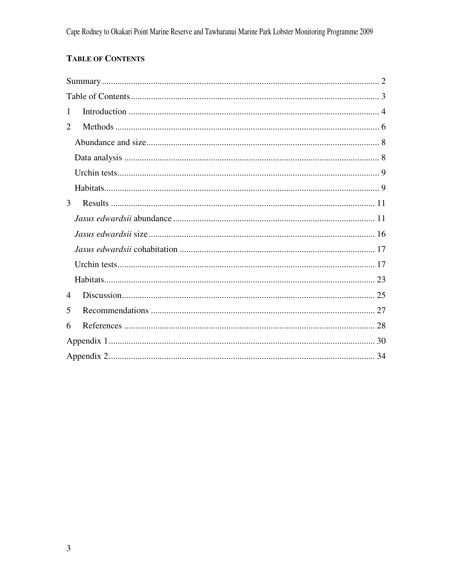# **TABLE OF CONTENTS**

| 1 |
|---|
| 2 |
|   |
|   |
|   |
|   |
| 3 |
|   |
|   |
|   |
|   |
|   |
| 4 |
| 5 |
| 6 |
|   |
|   |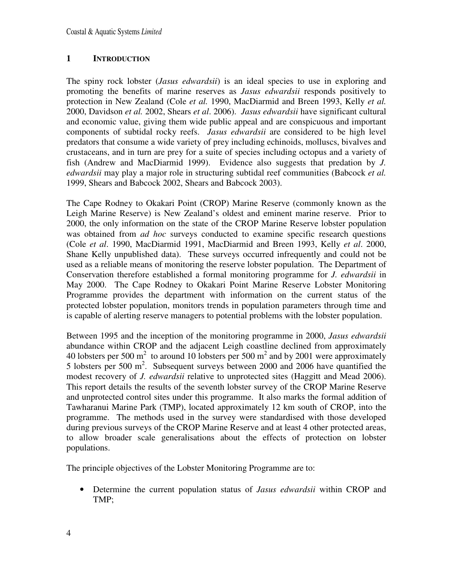### **1 INTRODUCTION**

The spiny rock lobster (*Jasus edwardsii*) is an ideal species to use in exploring and promoting the benefits of marine reserves as *Jasus edwardsii* responds positively to protection in New Zealand (Cole *et al.* 1990, MacDiarmid and Breen 1993, Kelly *et al.* 2000, Davidson *et al.* 2002, Shears *et al*. 2006). *Jasus edwardsii* have significant cultural and economic value, giving them wide public appeal and are conspicuous and important components of subtidal rocky reefs. *Jasus edwardsii* are considered to be high level predators that consume a wide variety of prey including echinoids, molluscs, bivalves and crustaceans, and in turn are prey for a suite of species including octopus and a variety of fish (Andrew and MacDiarmid 1999). Evidence also suggests that predation by *J. edwardsii* may play a major role in structuring subtidal reef communities (Babcock *et al.* 1999, Shears and Babcock 2002, Shears and Babcock 2003).

The Cape Rodney to Okakari Point (CROP) Marine Reserve (commonly known as the Leigh Marine Reserve) is New Zealand's oldest and eminent marine reserve. Prior to 2000, the only information on the state of the CROP Marine Reserve lobster population was obtained from *ad hoc* surveys conducted to examine specific research questions (Cole *et al*. 1990, MacDiarmid 1991, MacDiarmid and Breen 1993, Kelly *et al*. 2000, Shane Kelly unpublished data). These surveys occurred infrequently and could not be used as a reliable means of monitoring the reserve lobster population. The Department of Conservation therefore established a formal monitoring programme for *J. edwardsii* in May 2000. The Cape Rodney to Okakari Point Marine Reserve Lobster Monitoring Programme provides the department with information on the current status of the protected lobster population, monitors trends in population parameters through time and is capable of alerting reserve managers to potential problems with the lobster population.

Between 1995 and the inception of the monitoring programme in 2000, *Jasus edwardsii* abundance within CROP and the adjacent Leigh coastline declined from approximately 40 lobsters per 500  $m^2$  to around 10 lobsters per 500  $m^2$  and by 2001 were approximately 5 lobsters per 500  $m^2$ . Subsequent surveys between 2000 and 2006 have quantified the modest recovery of *J. edwardsii* relative to unprotected sites (Haggitt and Mead 2006). This report details the results of the seventh lobster survey of the CROP Marine Reserve and unprotected control sites under this programme. It also marks the formal addition of Tawharanui Marine Park (TMP), located approximately 12 km south of CROP, into the programme. The methods used in the survey were standardised with those developed during previous surveys of the CROP Marine Reserve and at least 4 other protected areas, to allow broader scale generalisations about the effects of protection on lobster populations.

The principle objectives of the Lobster Monitoring Programme are to:

• Determine the current population status of *Jasus edwardsii* within CROP and TMP;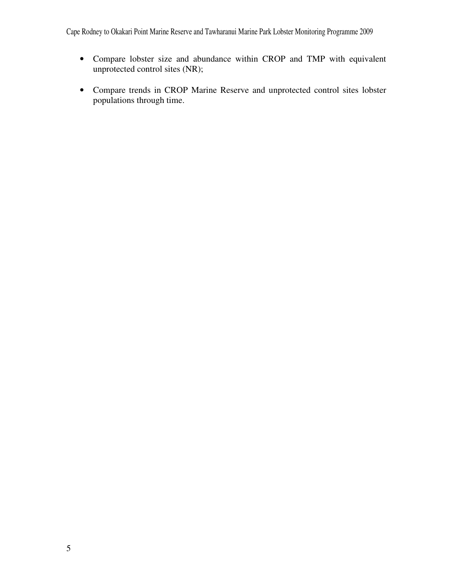Cape Rodney to Okakari Point Marine Reserve and Tawharanui Marine Park Lobster Monitoring Programme 2009

- Compare lobster size and abundance within CROP and TMP with equivalent unprotected control sites (NR);
- Compare trends in CROP Marine Reserve and unprotected control sites lobster populations through time.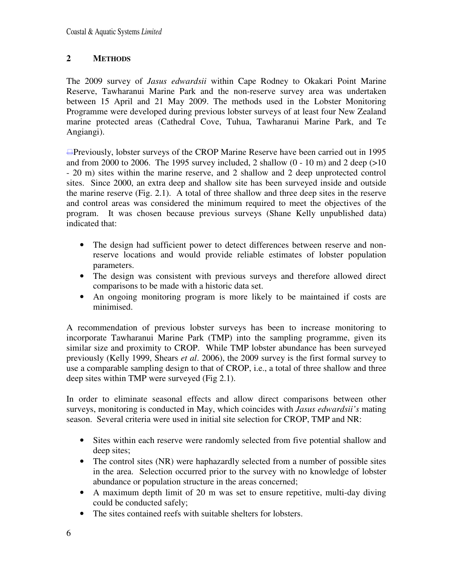## **2 METHODS**

The 2009 survey of *Jasus edwardsii* within Cape Rodney to Okakari Point Marine Reserve, Tawharanui Marine Park and the non-reserve survey area was undertaken between 15 April and 21 May 2009. The methods used in the Lobster Monitoring Programme were developed during previous lobster surveys of at least four New Zealand marine protected areas (Cathedral Cove, Tuhua, Tawharanui Marine Park, and Te Angiangi).

Previously, lobster surveys of the CROP Marine Reserve have been carried out in 1995 and from 2000 to 2006. The 1995 survey included, 2 shallow  $(0 - 10 \text{ m})$  and 2 deep  $(>10 \text{ m})$ - 20 m) sites within the marine reserve, and 2 shallow and 2 deep unprotected control sites. Since 2000, an extra deep and shallow site has been surveyed inside and outside the marine reserve (Fig. 2.1). A total of three shallow and three deep sites in the reserve and control areas was considered the minimum required to meet the objectives of the program. It was chosen because previous surveys (Shane Kelly unpublished data) indicated that:

- The design had sufficient power to detect differences between reserve and nonreserve locations and would provide reliable estimates of lobster population parameters.
- The design was consistent with previous surveys and therefore allowed direct comparisons to be made with a historic data set.
- An ongoing monitoring program is more likely to be maintained if costs are minimised.

A recommendation of previous lobster surveys has been to increase monitoring to incorporate Tawharanui Marine Park (TMP) into the sampling programme, given its similar size and proximity to CROP. While TMP lobster abundance has been surveyed previously (Kelly 1999, Shears *et al*. 2006), the 2009 survey is the first formal survey to use a comparable sampling design to that of CROP, i.e., a total of three shallow and three deep sites within TMP were surveyed (Fig 2.1).

In order to eliminate seasonal effects and allow direct comparisons between other surveys, monitoring is conducted in May, which coincides with *Jasus edwardsii's* mating season. Several criteria were used in initial site selection for CROP, TMP and NR:

- Sites within each reserve were randomly selected from five potential shallow and deep sites;
- The control sites (NR) were haphazardly selected from a number of possible sites in the area. Selection occurred prior to the survey with no knowledge of lobster abundance or population structure in the areas concerned;
- A maximum depth limit of 20 m was set to ensure repetitive, multi-day diving could be conducted safely;
- The sites contained reefs with suitable shelters for lobsters.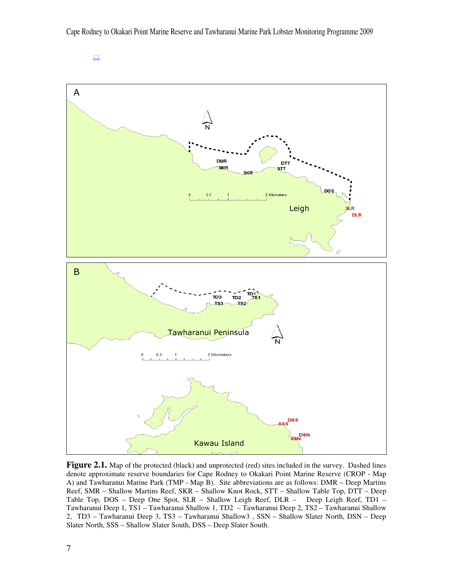

**Figure 2.1.** Map of the protected (black) and unprotected (red) sites included in the survey. Dashed lines denote approximate reserve boundaries for Cape Rodney to Okakari Point Marine Reserve (CROP - Map A) and Tawharanui Marine Park (TMP - Map B). Site abbreviations are as follows: DMR – Deep Martins Reef, SMR – Shallow Martins Reef, SKR – Shallow Knot Rock, STT – Shallow Table Top, DTT – Deep Table Top, DOS – Deep One Spot, SLR – Shallow Leigh Reef, DLR – Deep Leigh Reef, TD1 – Tawharanui Deep 1, TS1 – Tawharanui Shallow 1, TD2 – Tawharanui Deep 2, TS2 – Tawharanui Shallow 2, TD3 – Tawharanui Deep 3, TS3 – Tawharanui Shallow3 , SSN – Shallow Slater North, DSN – Deep Slater North, SSS – Shallow Slater South, DSS – Deep Slater South.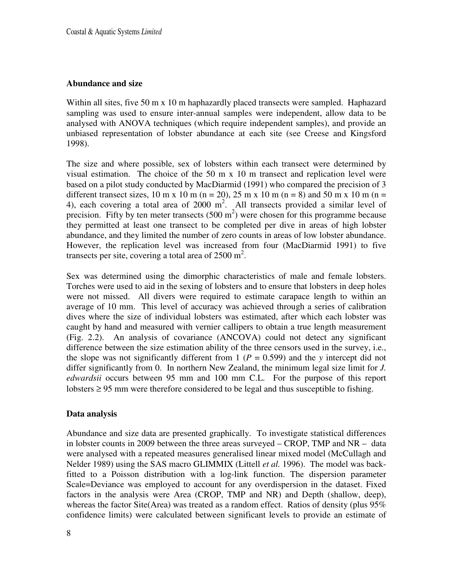#### **Abundance and size**

Within all sites, five 50 m x 10 m haphazardly placed transects were sampled. Haphazard sampling was used to ensure inter-annual samples were independent, allow data to be analysed with ANOVA techniques (which require independent samples), and provide an unbiased representation of lobster abundance at each site (see Creese and Kingsford 1998).

The size and where possible, sex of lobsters within each transect were determined by visual estimation. The choice of the 50 m x 10 m transect and replication level were based on a pilot study conducted by MacDiarmid (1991) who compared the precision of 3 different transect sizes, 10 m x 10 m (n = 20), 25 m x 10 m (n = 8) and 50 m x 10 m (n = 4), each covering a total area of 2000  $m^2$ . All transects provided a similar level of precision. Fifty by ten meter transects  $(500 \text{ m}^2)$  were chosen for this programme because they permitted at least one transect to be completed per dive in areas of high lobster abundance, and they limited the number of zero counts in areas of low lobster abundance. However, the replication level was increased from four (MacDiarmid 1991) to five transects per site, covering a total area of  $2500 \text{ m}^2$ .

Sex was determined using the dimorphic characteristics of male and female lobsters. Torches were used to aid in the sexing of lobsters and to ensure that lobsters in deep holes were not missed. All divers were required to estimate carapace length to within an average of 10 mm. This level of accuracy was achieved through a series of calibration dives where the size of individual lobsters was estimated, after which each lobster was caught by hand and measured with vernier callipers to obtain a true length measurement (Fig. 2.2). An analysis of covariance (ANCOVA) could not detect any significant difference between the size estimation ability of the three censors used in the survey, i.e., the slope was not significantly different from 1 ( $P = 0.599$ ) and the *y* intercept did not differ significantly from 0. In northern New Zealand, the minimum legal size limit for *J. edwardsii* occurs between 95 mm and 100 mm C.L. For the purpose of this report lobsters  $\geq$  95 mm were therefore considered to be legal and thus susceptible to fishing.

#### **Data analysis**

Abundance and size data are presented graphically. To investigate statistical differences in lobster counts in 2009 between the three areas surveyed – CROP, TMP and NR – data were analysed with a repeated measures generalised linear mixed model (McCullagh and Nelder 1989) using the SAS macro GLIMMIX (Littell *et al.* 1996). The model was backfitted to a Poisson distribution with a log-link function. The dispersion parameter Scale=Deviance was employed to account for any overdispersion in the dataset. Fixed factors in the analysis were Area (CROP, TMP and NR) and Depth (shallow, deep), whereas the factor Site(Area) was treated as a random effect. Ratios of density (plus 95% confidence limits) were calculated between significant levels to provide an estimate of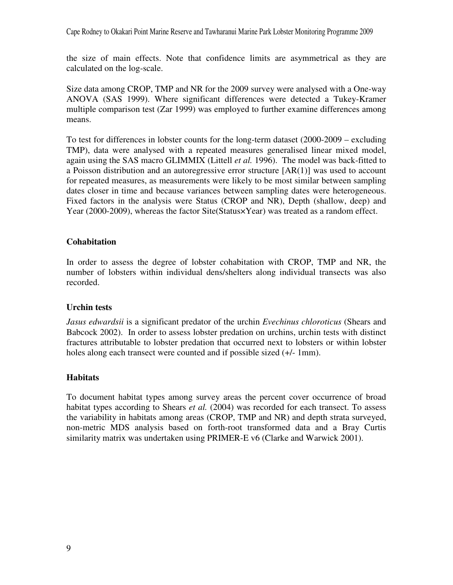Cape Rodney to Okakari Point Marine Reserve and Tawharanui Marine Park Lobster Monitoring Programme 2009

the size of main effects. Note that confidence limits are asymmetrical as they are calculated on the log-scale.

Size data among CROP, TMP and NR for the 2009 survey were analysed with a One-way ANOVA (SAS 1999). Where significant differences were detected a Tukey-Kramer multiple comparison test (Zar 1999) was employed to further examine differences among means.

To test for differences in lobster counts for the long-term dataset (2000-2009 – excluding TMP), data were analysed with a repeated measures generalised linear mixed model, again using the SAS macro GLIMMIX (Littell *et al.* 1996). The model was back-fitted to a Poisson distribution and an autoregressive error structure [AR(1)] was used to account for repeated measures, as measurements were likely to be most similar between sampling dates closer in time and because variances between sampling dates were heterogeneous. Fixed factors in the analysis were Status (CROP and NR), Depth (shallow, deep) and Year (2000-2009), whereas the factor Site(Status×Year) was treated as a random effect.

#### **Cohabitation**

In order to assess the degree of lobster cohabitation with CROP, TMP and NR, the number of lobsters within individual dens/shelters along individual transects was also recorded.

#### **Urchin tests**

*Jasus edwardsii* is a significant predator of the urchin *Evechinus chloroticus* (Shears and Babcock 2002). In order to assess lobster predation on urchins, urchin tests with distinct fractures attributable to lobster predation that occurred next to lobsters or within lobster holes along each transect were counted and if possible sized  $(+/- 1mm)$ .

#### **Habitats**

To document habitat types among survey areas the percent cover occurrence of broad habitat types according to Shears *et al.* (2004) was recorded for each transect. To assess the variability in habitats among areas (CROP, TMP and NR) and depth strata surveyed, non-metric MDS analysis based on forth-root transformed data and a Bray Curtis similarity matrix was undertaken using PRIMER-E v6 (Clarke and Warwick 2001).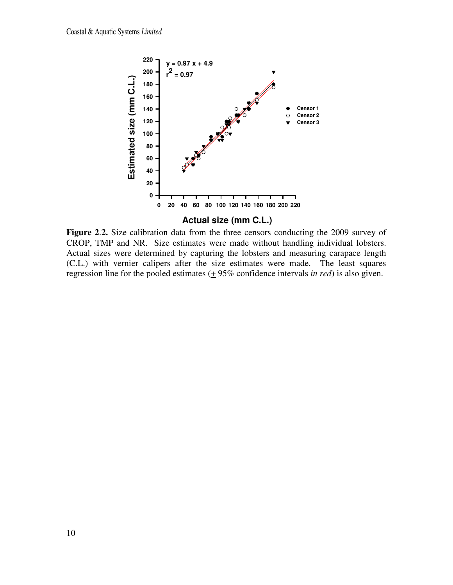

**Figure 2**.**2.** Size calibration data from the three censors conducting the 2009 survey of CROP, TMP and NR. Size estimates were made without handling individual lobsters. Actual sizes were determined by capturing the lobsters and measuring carapace length (C.L.) with vernier calipers after the size estimates were made. The least squares regression line for the pooled estimates  $(+ 95\%$  confidence intervals *in red*) is also given.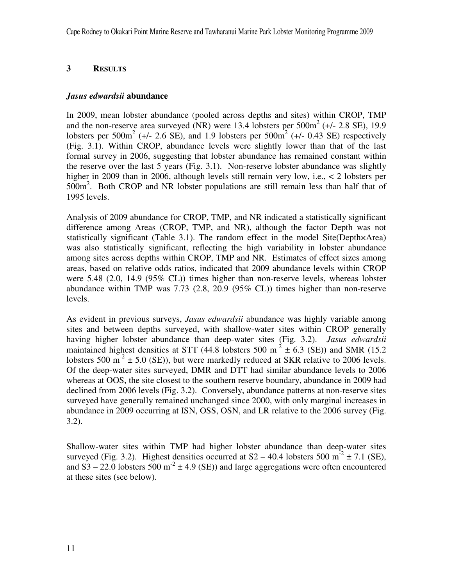#### **3 RESULTS**

#### *Jasus edwardsii* **abundance**

In 2009, mean lobster abundance (pooled across depths and sites) within CROP, TMP and the non-reserve area surveyed (NR) were 13.4 lobsters per  $500m^2$  (+/- 2.8 SE), 19.9 lobsters per  $500m^2$  (+/- 2.6 SE), and 1.9 lobsters per  $500m^2$  (+/- 0.43 SE) respectively (Fig. 3.1). Within CROP, abundance levels were slightly lower than that of the last formal survey in 2006, suggesting that lobster abundance has remained constant within the reserve over the last 5 years (Fig. 3.1). Non-reserve lobster abundance was slightly higher in 2009 than in 2006, although levels still remain very low, i.e., < 2 lobsters per 500m<sup>2</sup>. Both CROP and NR lobster populations are still remain less than half that of 1995 levels.

Analysis of 2009 abundance for CROP, TMP, and NR indicated a statistically significant difference among Areas (CROP, TMP, and NR), although the factor Depth was not statistically significant (Table 3.1). The random effect in the model Site(Depth×Area) was also statistically significant, reflecting the high variability in lobster abundance among sites across depths within CROP, TMP and NR. Estimates of effect sizes among areas, based on relative odds ratios, indicated that 2009 abundance levels within CROP were 5.48 (2.0, 14.9 (95% CL)) times higher than non-reserve levels, whereas lobster abundance within TMP was 7.73 (2.8, 20.9 (95% CL)) times higher than non-reserve levels.

As evident in previous surveys, *Jasus edwardsii* abundance was highly variable among sites and between depths surveyed, with shallow-water sites within CROP generally having higher lobster abundance than deep-water sites (Fig. 3.2). *Jasus edwardsii* maintained highest densities at STT (44.8 lobsters 500 m<sup>-2</sup>  $\pm$  6.3 (SE)) and SMR (15.2 lobsters 500 m<sup>-2</sup>  $\pm$  5.0 (SE)), but were markedly reduced at SKR relative to 2006 levels. Of the deep-water sites surveyed, DMR and DTT had similar abundance levels to 2006 whereas at OOS, the site closest to the southern reserve boundary, abundance in 2009 had declined from 2006 levels (Fig. 3.2). Conversely, abundance patterns at non-reserve sites surveyed have generally remained unchanged since 2000, with only marginal increases in abundance in 2009 occurring at ISN, OSS, OSN, and LR relative to the 2006 survey (Fig. 3.2).

Shallow-water sites within TMP had higher lobster abundance than deep-water sites surveyed (Fig. 3.2). Highest densities occurred at  $S2 - 40.4$  lobsters 500 m<sup>-2</sup>  $\pm$  7.1 (SE), and S3 – 22.0 lobsters 500 m<sup>-2</sup>  $\pm$  4.9 (SE)) and large aggregations were often encountered at these sites (see below).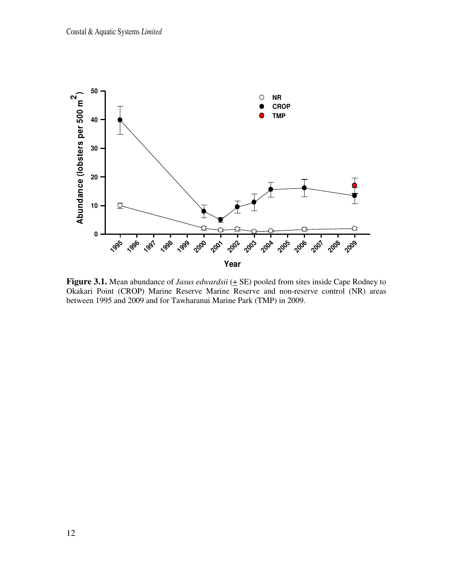

**Figure 3.1.** Mean abundance of *Jasus edwardsii* ( $\pm$  SE) pooled from sites inside Cape Rodney to Okakari Point (CROP) Marine Reserve Marine Reserve and non-reserve control (NR) areas between 1995 and 2009 and for Tawharanui Marine Park (TMP) in 2009.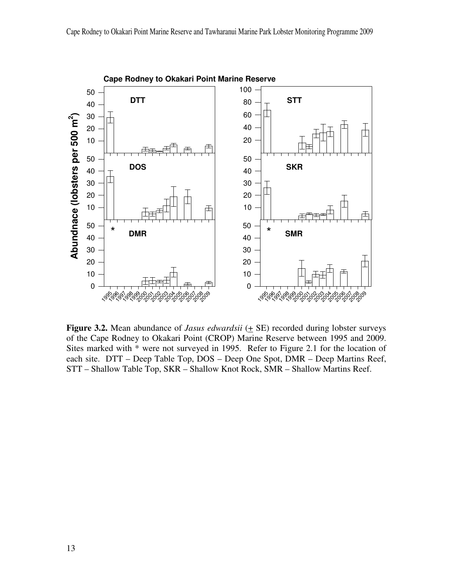

**Cape Rodney to Okakari Point Marine Reserve**

**Figure 3.2.** Mean abundance of *Jasus edwardsii*  $(+$  SE) recorded during lobster surveys of the Cape Rodney to Okakari Point (CROP) Marine Reserve between 1995 and 2009. Sites marked with \* were not surveyed in 1995. Refer to Figure 2.1 for the location of each site. DTT – Deep Table Top, DOS – Deep One Spot, DMR – Deep Martins Reef, STT – Shallow Table Top, SKR – Shallow Knot Rock, SMR – Shallow Martins Reef.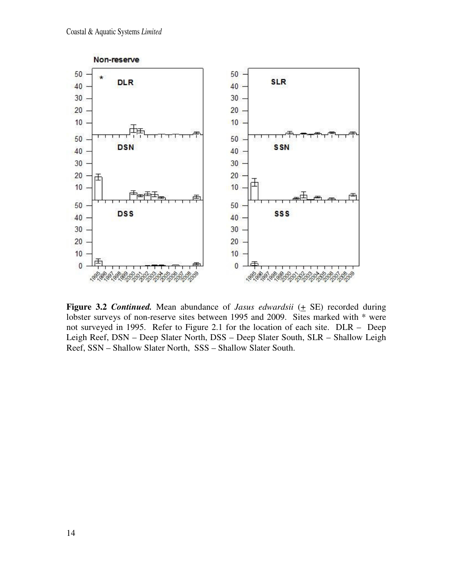

**Figure 3.2** *Continued.* Mean abundance of *Jasus edwardsii*  $(+$  SE) recorded during lobster surveys of non-reserve sites between 1995 and 2009. Sites marked with \* were not surveyed in 1995. Refer to Figure 2.1 for the location of each site. DLR – Deep Leigh Reef, DSN – Deep Slater North, DSS – Deep Slater South, SLR – Shallow Leigh Reef, SSN – Shallow Slater North, SSS – Shallow Slater South.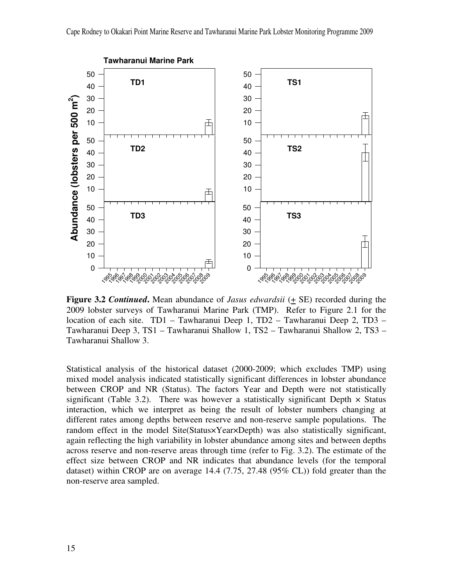

**Figure 3.2** *Continued***.** Mean abundance of *Jasus edwardsii* (+ SE) recorded during the 2009 lobster surveys of Tawharanui Marine Park (TMP). Refer to Figure 2.1 for the location of each site. TD1 – Tawharanui Deep 1, TD2 – Tawharanui Deep 2, TD3 – Tawharanui Deep 3, TS1 – Tawharanui Shallow 1, TS2 – Tawharanui Shallow 2, TS3 – Tawharanui Shallow 3.

Statistical analysis of the historical dataset (2000-2009; which excludes TMP) using mixed model analysis indicated statistically significant differences in lobster abundance between CROP and NR (Status). The factors Year and Depth were not statistically significant (Table 3.2). There was however a statistically significant Depth  $\times$  Status interaction, which we interpret as being the result of lobster numbers changing at different rates among depths between reserve and non-reserve sample populations. The random effect in the model Site(Status×Year×Depth) was also statistically significant, again reflecting the high variability in lobster abundance among sites and between depths across reserve and non-reserve areas through time (refer to Fig. 3.2). The estimate of the effect size between CROP and NR indicates that abundance levels (for the temporal dataset) within CROP are on average 14.4 (7.75, 27.48 (95% CL)) fold greater than the non-reserve area sampled.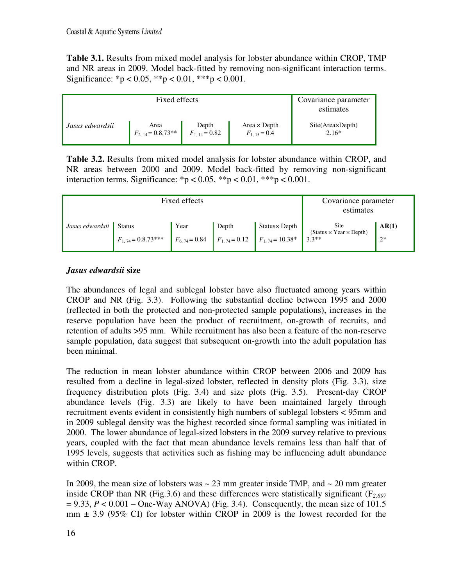**Table 3.1.** Results from mixed model analysis for lobster abundance within CROP, TMP and NR areas in 2009. Model back-fitted by removing non-significant interaction terms. Significance: \*p < 0.05, \*\*p < 0.01, \*\*\*p < 0.001.

|                 | Covariance parameter<br>estimates |                   |                     |                  |
|-----------------|-----------------------------------|-------------------|---------------------|------------------|
| Jasus edwardsii | Area                              | Depth             | Area $\times$ Depth | Site(Area×Depth) |
|                 | $F_{2, 14} = 0.8.73**$            | $F_{1,14} = 0.82$ | $F_{1,15} = 0.4$    | $2.16*$          |

**Table 3.2.** Results from mixed model analysis for lobster abundance within CROP, and NR areas between 2000 and 2009. Model back-fitted by removing non-significant interaction terms. Significance: \*p < 0.05, \*\*p < 0.01, \*\*\*p < 0.001.

|                          | Fixed effects          | Covariance parameter<br>estimates |       |                                                         |                                             |       |
|--------------------------|------------------------|-----------------------------------|-------|---------------------------------------------------------|---------------------------------------------|-------|
| Jasus edwardsii   Status |                        | Year                              | Depth | Status× Depth                                           | Site<br>$(Status \times Year \times Depth)$ | AR(1) |
|                          | $F_{1,74} = 0.8.73***$ |                                   |       | $F_{6,74} = 0.84$ $F_{1,74} = 0.12$ $F_{1,74} = 10.38*$ | $3.3**$                                     | $2*$  |

## *Jasus edwardsii* **size**

The abundances of legal and sublegal lobster have also fluctuated among years within CROP and NR (Fig. 3.3). Following the substantial decline between 1995 and 2000 (reflected in both the protected and non-protected sample populations), increases in the reserve population have been the product of recruitment, on-growth of recruits, and retention of adults >95 mm. While recruitment has also been a feature of the non-reserve sample population, data suggest that subsequent on-growth into the adult population has been minimal.

The reduction in mean lobster abundance within CROP between 2006 and 2009 has resulted from a decline in legal-sized lobster, reflected in density plots (Fig. 3.3), size frequency distribution plots (Fig. 3.4) and size plots (Fig. 3.5). Present-day CROP abundance levels (Fig. 3.3) are likely to have been maintained largely through recruitment events evident in consistently high numbers of sublegal lobsters < 95mm and in 2009 sublegal density was the highest recorded since formal sampling was initiated in 2000. The lower abundance of legal-sized lobsters in the 2009 survey relative to previous years, coupled with the fact that mean abundance levels remains less than half that of 1995 levels, suggests that activities such as fishing may be influencing adult abundance within CROP.

In 2009, the mean size of lobsters was  $\sim$  23 mm greater inside TMP, and  $\sim$  20 mm greater inside CROP than NR (Fig.3.6) and these differences were statistically significant (F*2,897*  $= 9.33$ ,  $P < 0.001$  – One-Way ANOVA) (Fig. 3.4). Consequently, the mean size of 101.5  $mm \pm 3.9$  (95% CI) for lobster within CROP in 2009 is the lowest recorded for the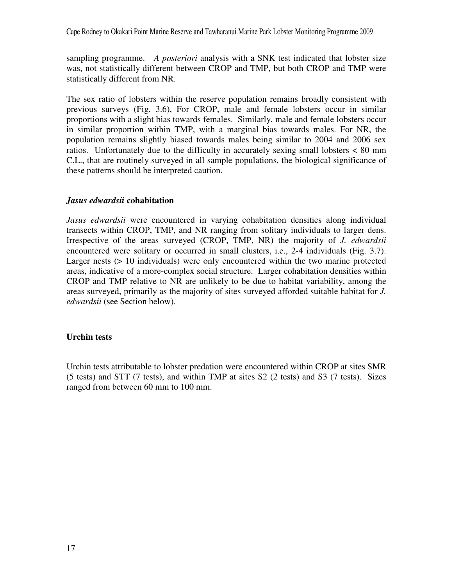sampling programme. *A posteriori* analysis with a SNK test indicated that lobster size was, not statistically different between CROP and TMP, but both CROP and TMP were statistically different from NR.

The sex ratio of lobsters within the reserve population remains broadly consistent with previous surveys (Fig. 3.6), For CROP, male and female lobsters occur in similar proportions with a slight bias towards females. Similarly, male and female lobsters occur in similar proportion within TMP, with a marginal bias towards males. For NR, the population remains slightly biased towards males being similar to 2004 and 2006 sex ratios. Unfortunately due to the difficulty in accurately sexing small lobsters < 80 mm C.L., that are routinely surveyed in all sample populations, the biological significance of these patterns should be interpreted caution.

#### *Jasus edwardsii* **cohabitation**

*Jasus edwardsii* were encountered in varying cohabitation densities along individual transects within CROP, TMP, and NR ranging from solitary individuals to larger dens. Irrespective of the areas surveyed (CROP, TMP, NR) the majority of *J. edwardsii* encountered were solitary or occurred in small clusters, i.e., 2-4 individuals (Fig. 3.7). Larger nests (> 10 individuals) were only encountered within the two marine protected areas, indicative of a more-complex social structure. Larger cohabitation densities within CROP and TMP relative to NR are unlikely to be due to habitat variability, among the areas surveyed, primarily as the majority of sites surveyed afforded suitable habitat for *J. edwardsii* (see Section below).

#### **Urchin tests**

Urchin tests attributable to lobster predation were encountered within CROP at sites SMR (5 tests) and STT (7 tests), and within TMP at sites S2 (2 tests) and S3 (7 tests). Sizes ranged from between 60 mm to 100 mm.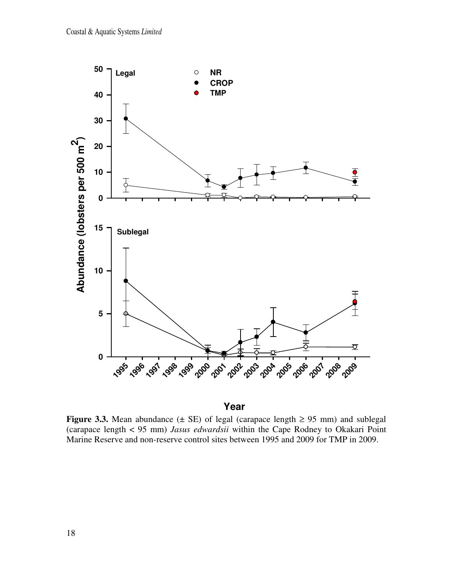

## **Year**

**Figure 3.3.** Mean abundance ( $\pm$  SE) of legal (carapace length  $\geq$  95 mm) and sublegal (carapace length < 95 mm) *Jasus edwardsii* within the Cape Rodney to Okakari Point Marine Reserve and non-reserve control sites between 1995 and 2009 for TMP in 2009.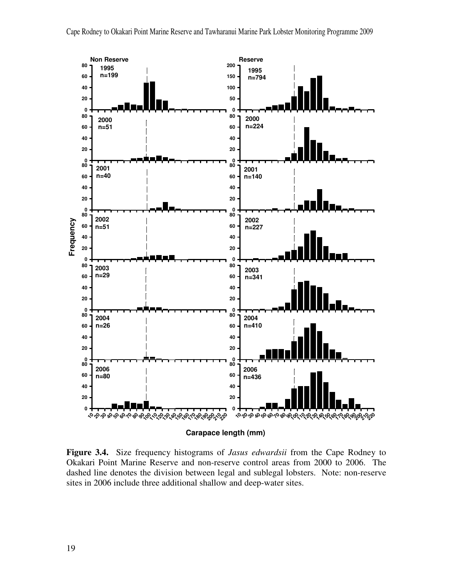

**Figure 3.4.** Size frequency histograms of *Jasus edwardsii* from the Cape Rodney to Okakari Point Marine Reserve and non-reserve control areas from 2000 to 2006. The dashed line denotes the division between legal and sublegal lobsters. Note: non-reserve sites in 2006 include three additional shallow and deep-water sites.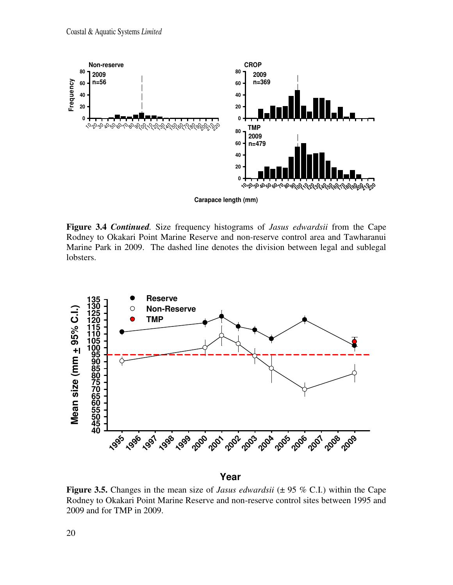

**Figure 3.4** *Continued.* Size frequency histograms of *Jasus edwardsii* from the Cape Rodney to Okakari Point Marine Reserve and non-reserve control area and Tawharanui Marine Park in 2009. The dashed line denotes the division between legal and sublegal lobsters.



**Year**

**Figure 3.5.** Changes in the mean size of *Jasus edwardsii* ( $\pm$  95 % C.I.) within the Cape Rodney to Okakari Point Marine Reserve and non-reserve control sites between 1995 and 2009 and for TMP in 2009.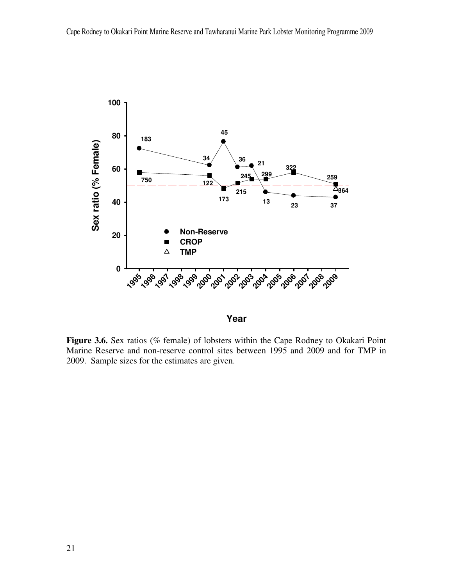

**Year**

Figure 3.6. Sex ratios (% female) of lobsters within the Cape Rodney to Okakari Point Marine Reserve and non-reserve control sites between 1995 and 2009 and for TMP in 2009. Sample sizes for the estimates are given.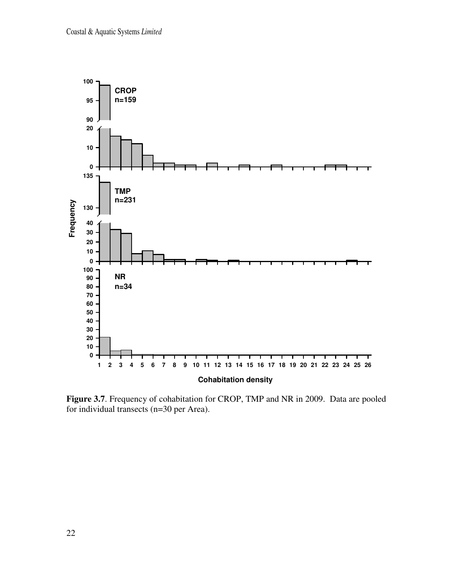

**Figure 3.7**. Frequency of cohabitation for CROP, TMP and NR in 2009. Data are pooled for individual transects (n=30 per Area).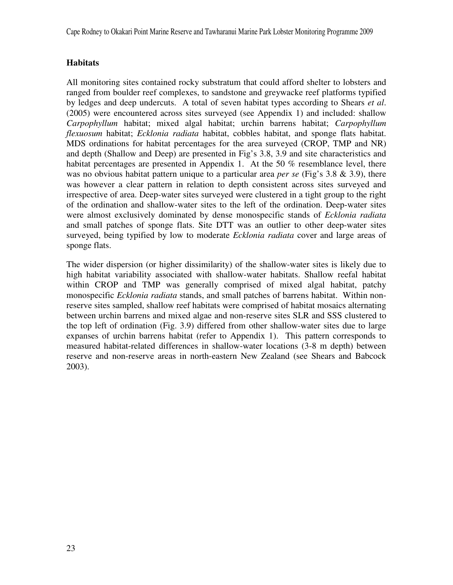Cape Rodney to Okakari Point Marine Reserve and Tawharanui Marine Park Lobster Monitoring Programme 2009

## **Habitats**

All monitoring sites contained rocky substratum that could afford shelter to lobsters and ranged from boulder reef complexes, to sandstone and greywacke reef platforms typified by ledges and deep undercuts. A total of seven habitat types according to Shears *et al*. (2005) were encountered across sites surveyed (see Appendix 1) and included: shallow *Carpophyllum* habitat; mixed algal habitat; urchin barrens habitat; *Carpophyllum flexuosum* habitat; *Ecklonia radiata* habitat, cobbles habitat, and sponge flats habitat. MDS ordinations for habitat percentages for the area surveyed (CROP, TMP and NR) and depth (Shallow and Deep) are presented in Fig's 3.8, 3.9 and site characteristics and habitat percentages are presented in Appendix 1. At the 50 % resemblance level, there was no obvious habitat pattern unique to a particular area *per se* (Fig's 3.8 & 3.9), there was however a clear pattern in relation to depth consistent across sites surveyed and irrespective of area. Deep-water sites surveyed were clustered in a tight group to the right of the ordination and shallow-water sites to the left of the ordination. Deep-water sites were almost exclusively dominated by dense monospecific stands of *Ecklonia radiata* and small patches of sponge flats. Site DTT was an outlier to other deep-water sites surveyed, being typified by low to moderate *Ecklonia radiata* cover and large areas of sponge flats.

The wider dispersion (or higher dissimilarity) of the shallow-water sites is likely due to high habitat variability associated with shallow-water habitats. Shallow reefal habitat within CROP and TMP was generally comprised of mixed algal habitat, patchy monospecific *Ecklonia radiata* stands, and small patches of barrens habitat. Within nonreserve sites sampled, shallow reef habitats were comprised of habitat mosaics alternating between urchin barrens and mixed algae and non-reserve sites SLR and SSS clustered to the top left of ordination (Fig. 3.9) differed from other shallow-water sites due to large expanses of urchin barrens habitat (refer to Appendix 1). This pattern corresponds to measured habitat-related differences in shallow-water locations (3-8 m depth) between reserve and non-reserve areas in north-eastern New Zealand (see Shears and Babcock 2003).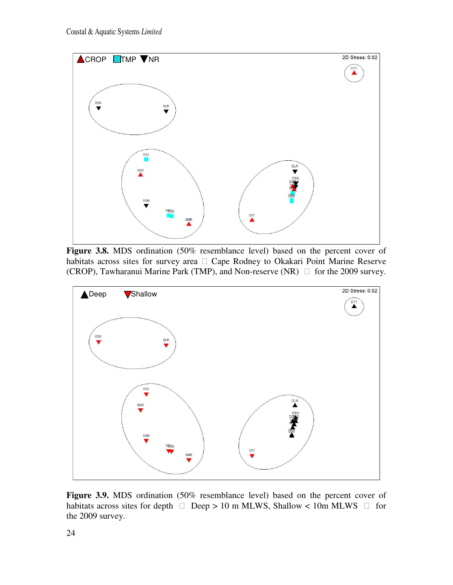

**Figure 3.8.** MDS ordination (50% resemblance level) based on the percent cover of habitats across sites for survey area Cape Rodney to Okakari Point Marine Reserve Cape Rodney to Okakari Point Marine Reserve (CROP), Tawharanui Marine Park (TMP), and Non-reserve (NR) for the 2009 survey.



**Figure 3.9.** MDS ordination (50% resemblance level) based on the percent cover of habitats across sites for depth  $\rho$  Deep > 10 m MLWS, Shallow < 10m MLWS for the 2009 survey.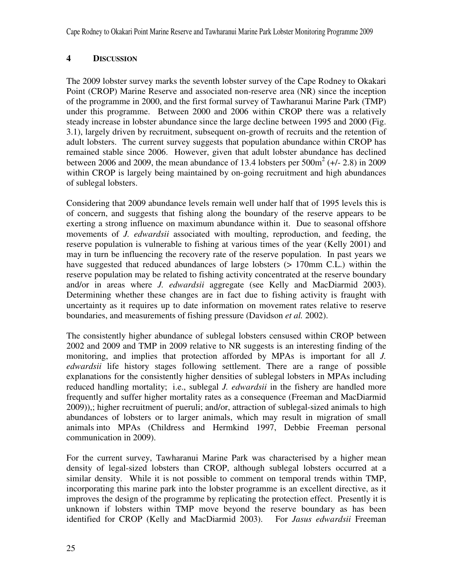## **4 DISCUSSION**

The 2009 lobster survey marks the seventh lobster survey of the Cape Rodney to Okakari Point (CROP) Marine Reserve and associated non-reserve area (NR) since the inception of the programme in 2000, and the first formal survey of Tawharanui Marine Park (TMP) under this programme. Between 2000 and 2006 within CROP there was a relatively steady increase in lobster abundance since the large decline between 1995 and 2000 (Fig. 3.1), largely driven by recruitment, subsequent on-growth of recruits and the retention of adult lobsters. The current survey suggests that population abundance within CROP has remained stable since 2006. However, given that adult lobster abundance has declined between 2006 and 2009, the mean abundance of 13.4 lobsters per  $500\text{m}^2$  (+/- 2.8) in 2009 within CROP is largely being maintained by on-going recruitment and high abundances of sublegal lobsters.

Considering that 2009 abundance levels remain well under half that of 1995 levels this is of concern, and suggests that fishing along the boundary of the reserve appears to be exerting a strong influence on maximum abundance within it. Due to seasonal offshore movements of *J. edwardsii* associated with moulting, reproduction, and feeding, the reserve population is vulnerable to fishing at various times of the year (Kelly 2001) and may in turn be influencing the recovery rate of the reserve population. In past years we have suggested that reduced abundances of large lobsters ( $> 170$ mm C.L.) within the reserve population may be related to fishing activity concentrated at the reserve boundary and/or in areas where *J. edwardsii* aggregate (see Kelly and MacDiarmid 2003). Determining whether these changes are in fact due to fishing activity is fraught with uncertainty as it requires up to date information on movement rates relative to reserve boundaries, and measurements of fishing pressure (Davidson *et al.* 2002).

The consistently higher abundance of sublegal lobsters censused within CROP between 2002 and 2009 and TMP in 2009 relative to NR suggests is an interesting finding of the monitoring, and implies that protection afforded by MPAs is important for all *J. edwardsii* life history stages following settlement. There are a range of possible explanations for the consistently higher densities of sublegal lobsters in MPAs including reduced handling mortality; i.e., sublegal *J. edwardsii* in the fishery are handled more frequently and suffer higher mortality rates as a consequence (Freeman and MacDiarmid 2009)),; higher recruitment of pueruli; and/or, attraction of sublegal-sized animals to high abundances of lobsters or to larger animals, which may result in migration of small animals into MPAs (Childress and Hermkind 1997, Debbie Freeman personal communication in 2009).

For the current survey, Tawharanui Marine Park was characterised by a higher mean density of legal-sized lobsters than CROP, although sublegal lobsters occurred at a similar density. While it is not possible to comment on temporal trends within TMP, incorporating this marine park into the lobster programme is an excellent directive, as it improves the design of the programme by replicating the protection effect. Presently it is unknown if lobsters within TMP move beyond the reserve boundary as has been identified for CROP (Kelly and MacDiarmid 2003). For *Jasus edwardsii* Freeman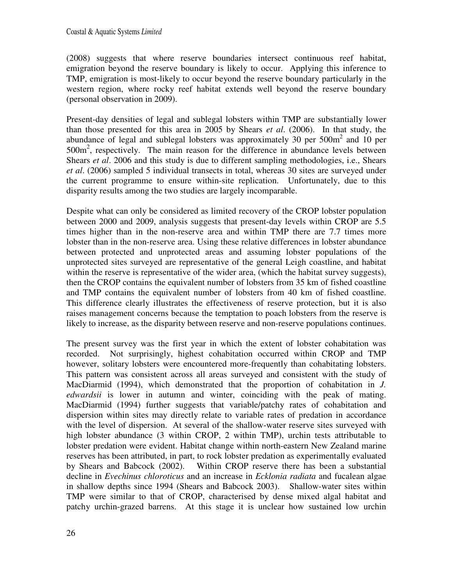#### Coastal & Aquatic Systems *Limited*

(2008) suggests that where reserve boundaries intersect continuous reef habitat, emigration beyond the reserve boundary is likely to occur. Applying this inference to TMP, emigration is most-likely to occur beyond the reserve boundary particularly in the western region, where rocky reef habitat extends well beyond the reserve boundary (personal observation in 2009).

Present-day densities of legal and sublegal lobsters within TMP are substantially lower than those presented for this area in 2005 by Shears *et al*. (2006). In that study, the abundance of legal and sublegal lobsters was approximately 30 per  $500m<sup>2</sup>$  and 10 per 500m<sup>2</sup>, respectively. The main reason for the difference in abundance levels between Shears *et al*. 2006 and this study is due to different sampling methodologies, i.e., Shears *et al*. (2006) sampled 5 individual transects in total, whereas 30 sites are surveyed under the current programme to ensure within-site replication. Unfortunately, due to this disparity results among the two studies are largely incomparable.

Despite what can only be considered as limited recovery of the CROP lobster population between 2000 and 2009, analysis suggests that present-day levels within CROP are 5.5 times higher than in the non-reserve area and within TMP there are 7.7 times more lobster than in the non-reserve area. Using these relative differences in lobster abundance between protected and unprotected areas and assuming lobster populations of the unprotected sites surveyed are representative of the general Leigh coastline, and habitat within the reserve is representative of the wider area, (which the habitat survey suggests), then the CROP contains the equivalent number of lobsters from 35 km of fished coastline and TMP contains the equivalent number of lobsters from 40 km of fished coastline. This difference clearly illustrates the effectiveness of reserve protection, but it is also raises management concerns because the temptation to poach lobsters from the reserve is likely to increase, as the disparity between reserve and non-reserve populations continues.

The present survey was the first year in which the extent of lobster cohabitation was recorded. Not surprisingly, highest cohabitation occurred within CROP and TMP however, solitary lobsters were encountered more-frequently than cohabitating lobsters. This pattern was consistent across all areas surveyed and consistent with the study of MacDiarmid (1994), which demonstrated that the proportion of cohabitation in *J. edwardsii* is lower in autumn and winter, coinciding with the peak of mating. MacDiarmid (1994) further suggests that variable/patchy rates of cohabitation and dispersion within sites may directly relate to variable rates of predation in accordance with the level of dispersion. At several of the shallow-water reserve sites surveyed with high lobster abundance (3 within CROP, 2 within TMP), urchin tests attributable to lobster predation were evident. Habitat change within north-eastern New Zealand marine reserves has been attributed, in part, to rock lobster predation as experimentally evaluated by Shears and Babcock (2002). Within CROP reserve there has been a substantial decline in *Evechinus chloroticus* and an increase in *Ecklonia radiata* and fucalean algae in shallow depths since 1994 (Shears and Babcock 2003). Shallow-water sites within TMP were similar to that of CROP, characterised by dense mixed algal habitat and patchy urchin-grazed barrens. At this stage it is unclear how sustained low urchin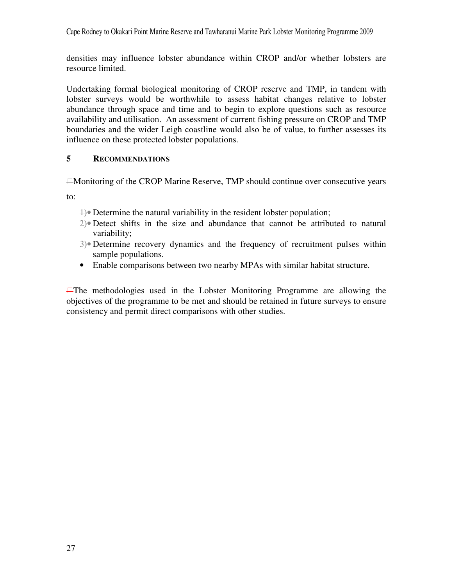densities may influence lobster abundance within CROP and/or whether lobsters are resource limited.

Undertaking formal biological monitoring of CROP reserve and TMP, in tandem with lobster surveys would be worthwhile to assess habitat changes relative to lobster abundance through space and time and to begin to explore questions such as resource availability and utilisation. An assessment of current fishing pressure on CROP and TMP boundaries and the wider Leigh coastline would also be of value, to further assesses its influence on these protected lobster populations.

#### **5 RECOMMENDATIONS**

Monitoring of the CROP Marine Reserve, TMP should continue over consecutive years

to:

- $\downarrow$  Determine the natural variability in the resident lobster population;
- 2)• Detect shifts in the size and abundance that cannot be attributed to natural variability;
- 3)• Determine recovery dynamics and the frequency of recruitment pulses within sample populations.
- Enable comparisons between two nearby MPAs with similar habitat structure.

The methodologies used in the Lobster Monitoring Programme are allowing the objectives of the programme to be met and should be retained in future surveys to ensure consistency and permit direct comparisons with other studies.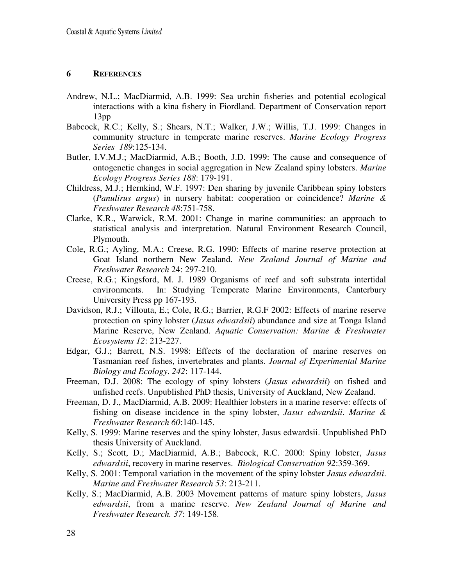#### **6 REFERENCES**

- Andrew, N.L.; MacDiarmid, A.B. 1999: Sea urchin fisheries and potential ecological interactions with a kina fishery in Fiordland. Department of Conservation report 13pp
- Babcock, R.C.; Kelly, S.; Shears, N.T.; Walker, J.W.; Willis, T.J. 1999: Changes in community structure in temperate marine reserves. *Marine Ecology Progress Series 189*:125-134.
- Butler, I.V.M.J.; MacDiarmid, A.B.; Booth, J.D. 1999: The cause and consequence of ontogenetic changes in social aggregation in New Zealand spiny lobsters. *Marine Ecology Progress Series 188*: 179-191.
- Childress, M.J.; Hernkind, W.F. 1997: Den sharing by juvenile Caribbean spiny lobsters (*Panulirus argus*) in nursery habitat: cooperation or coincidence? *Marine & Freshwater Research 48*:751-758.
- Clarke, K.R., Warwick, R.M. 2001: Change in marine communities: an approach to statistical analysis and interpretation. Natural Environment Research Council, Plymouth.
- Cole, R.G.; Ayling, M.A.; Creese, R.G. 1990: Effects of marine reserve protection at Goat Island northern New Zealand. *New Zealand Journal of Marine and Freshwater Research* 24: 297-210.
- Creese, R.G.; Kingsford, M. J. 1989 Organisms of reef and soft substrata intertidal environments. In: Studying Temperate Marine Environments, Canterbury University Press pp 167-193.
- Davidson, R.J.; Villouta, E.; Cole, R.G.; Barrier, R.G.F 2002: Effects of marine reserve protection on spiny lobster (*Jasus edwardsii*) abundance and size at Tonga Island Marine Reserve, New Zealand. *Aquatic Conservation: Marine & Freshwater Ecosystems 12*: 213-227.
- Edgar, G.J.; Barrett, N.S. 1998: Effects of the declaration of marine reserves on Tasmanian reef fishes, invertebrates and plants. *Journal of Experimental Marine Biology and Ecology*. *242*: 117-144.
- Freeman, D.J. 2008: The ecology of spiny lobsters (*Jasus edwardsii*) on fished and unfished reefs. Unpublished PhD thesis, University of Auckland, New Zealand.
- Freeman, D. J., MacDiarmid, A.B. 2009: Healthier lobsters in a marine reserve: effects of fishing on disease incidence in the spiny lobster, *Jasus edwardsii*. *Marine & Freshwater Research 60*:140-145.
- Kelly, S. 1999: Marine reserves and the spiny lobster, Jasus edwardsii. Unpublished PhD thesis University of Auckland.
- Kelly, S.; Scott, D.; MacDiarmid, A.B.; Babcock, R.C. 2000: Spiny lobster, *Jasus edwardsii*, recovery in marine reserves. *Biological Conservation 92*:359-369.
- Kelly, S. 2001: Temporal variation in the movement of the spiny lobster *Jasus edwardsii*. *Marine and Freshwater Research 53*: 213-211.
- Kelly, S.; MacDiarmid, A.B. 2003 Movement patterns of mature spiny lobsters, *Jasus edwardsii*, from a marine reserve. *New Zealand Journal of Marine and Freshwater Research. 37*: 149-158.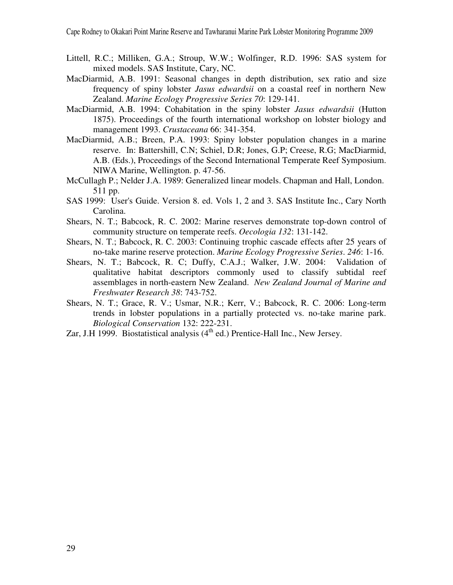- Littell, R.C.; Milliken, G.A.; Stroup, W.W.; Wolfinger, R.D. 1996: SAS system for mixed models. SAS Institute, Cary, NC.
- MacDiarmid, A.B. 1991: Seasonal changes in depth distribution, sex ratio and size frequency of spiny lobster *Jasus edwardsii* on a coastal reef in northern New Zealand. *Marine Ecology Progressive Series 70*: 129-141.
- MacDiarmid, A.B. 1994: Cohabitation in the spiny lobster *Jasus edwardsii* (Hutton 1875). Proceedings of the fourth international workshop on lobster biology and management 1993. *Crustaceana* 66: 341-354.
- MacDiarmid, A.B.; Breen, P.A. 1993: Spiny lobster population changes in a marine reserve. In: Battershill, C.N; Schiel, D.R; Jones, G.P; Creese, R.G; MacDiarmid, A.B. (Eds.), Proceedings of the Second International Temperate Reef Symposium. NIWA Marine, Wellington. p. 47-56.
- McCullagh P.; Nelder J.A. 1989: Generalized linear models. Chapman and Hall, London. 511 pp.
- SAS 1999: User's Guide. Version 8. ed. Vols 1, 2 and 3. SAS Institute Inc., Cary North Carolina.
- Shears, N. T.; Babcock, R. C. 2002: Marine reserves demonstrate top-down control of community structure on temperate reefs. *Oecologia 132*: 131-142.
- Shears, N. T.; Babcock, R. C. 2003: Continuing trophic cascade effects after 25 years of no-take marine reserve protection. *Marine Ecology Progressive Series*. *246*: 1-16.
- Shears, N. T.; Babcock, R. C; Duffy, C.A.J.; Walker, J.W. 2004: Validation of qualitative habitat descriptors commonly used to classify subtidal reef assemblages in north-eastern New Zealand. *New Zealand Journal of Marine and Freshwater Research 38*: 743-752.
- Shears, N. T.; Grace, R. V.; Usmar, N.R.; Kerr, V.; Babcock, R. C. 2006: Long-term trends in lobster populations in a partially protected vs. no-take marine park. *Biological Conservation* 132: 222-231.
- Zar, J.H 1999. Biostatistical analysis  $(4<sup>th</sup>$  ed.) Prentice-Hall Inc., New Jersey.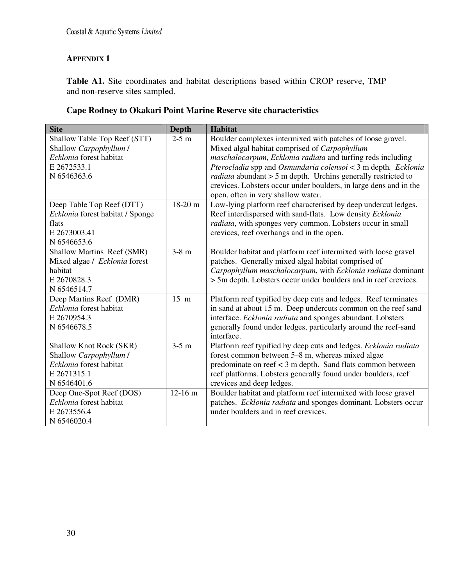## **APPENDIX 1**

**Table A1.** Site coordinates and habitat descriptions based within CROP reserve, TMP and non-reserve sites sampled.

## **Cape Rodney to Okakari Point Marine Reserve site characteristics**

| <b>Site</b>                            | <b>Depth</b>   | <b>Habitat</b>                                                                |
|----------------------------------------|----------------|-------------------------------------------------------------------------------|
| Shallow Table Top Reef (STT)           | $2-5$ m        | Boulder complexes intermixed with patches of loose gravel.                    |
| Shallow Carpophyllum /                 |                | Mixed algal habitat comprised of <i>Carpophyllum</i>                          |
| Ecklonia forest habitat                |                | maschalocarpum, Ecklonia radiata and turfing reds including                   |
| E 2672533.1                            |                | Pterocladia spp and Osmundaria colensoi < 3 m depth. Ecklonia                 |
| N 6546363.6                            |                | <i>radiata</i> abundant $> 5$ m depth. Urchins generally restricted to        |
|                                        |                | crevices. Lobsters occur under boulders, in large dens and in the             |
|                                        |                | open, often in very shallow water.                                            |
| Deep Table Top Reef (DTT)              | 18-20 m        | Low-lying platform reef characterised by deep undercut ledges.                |
| Ecklonia forest habitat / Sponge       |                | Reef interdispersed with sand-flats. Low density Ecklonia                     |
| flats                                  |                | radiata, with sponges very common. Lobsters occur in small                    |
| E 2673003.41                           |                | crevices, reef overhangs and in the open.                                     |
| N 6546653.6                            |                |                                                                               |
| Shallow Martins Reef (SMR)             | $3-8$ m        | Boulder habitat and platform reef intermixed with loose gravel                |
| Mixed algae / Ecklonia forest          |                | patches. Generally mixed algal habitat comprised of                           |
| habitat                                |                | Carpophyllum maschalocarpum, with Ecklonia radiata dominant                   |
| E 2670828.3                            |                | > 5m depth. Lobsters occur under boulders and in reef crevices.               |
| N 6546514.7                            |                |                                                                               |
| Deep Martins Reef (DMR)                | $15 \text{ m}$ | Platform reef typified by deep cuts and ledges. Reef terminates               |
| Ecklonia forest habitat<br>E 2670954.3 |                | in sand at about 15 m. Deep undercuts common on the reef sand                 |
| N 6546678.5                            |                | interface. Ecklonia radiata and sponges abundant. Lobsters                    |
|                                        |                | generally found under ledges, particularly around the reef-sand<br>interface. |
| <b>Shallow Knot Rock (SKR)</b>         | $3-5$ m        | Platform reef typified by deep cuts and ledges. Ecklonia radiata              |
| Shallow Carpophyllum /                 |                | forest common between 5–8 m, whereas mixed algae                              |
| Ecklonia forest habitat                |                | predominate on reef $<$ 3 m depth. Sand flats common between                  |
| E 2671315.1                            |                | reef platforms. Lobsters generally found under boulders, reef                 |
| N 6546401.6                            |                | crevices and deep ledges.                                                     |
| Deep One-Spot Reef (DOS)               | $12-16$ m      | Boulder habitat and platform reef intermixed with loose gravel                |
| Ecklonia forest habitat                |                | patches. Ecklonia radiata and sponges dominant. Lobsters occur                |
| E 2673556.4                            |                | under boulders and in reef crevices.                                          |
| N 6546020.4                            |                |                                                                               |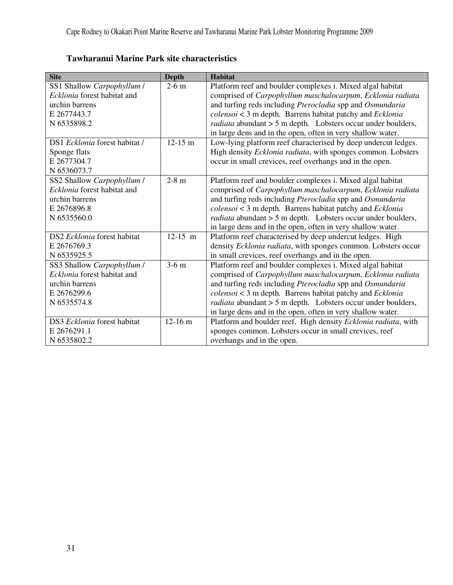| <b>Site</b>                   | <b>Depth</b> | <b>Habitat</b>                                                      |
|-------------------------------|--------------|---------------------------------------------------------------------|
| SS1 Shallow Carpophyllum /    | $2-6$ m      | Platform reef and boulder complexes i. Mixed algal habitat          |
| Ecklonia forest habitat and   |              | comprised of Carpophyllum maschalocarpum, Ecklonia radiata          |
| urchin barrens                |              | and turfing reds including Pterocladia spp and Osmundaria           |
| E 2677443.7                   |              | $colensoi < 3$ m depth. Barrens habitat patchy and $Ecklonia$       |
| N 6535898.2                   |              | <i>radiata</i> abundant > 5 m depth. Lobsters occur under boulders, |
|                               |              | in large dens and in the open, often in very shallow water.         |
| DS1 Ecklonia forest habitat / | $12-15$ m    | Low-lying platform reef characterised by deep undercut ledges.      |
| Sponge flats                  |              | High density Ecklonia radiata, with sponges common. Lobsters        |
| E 2677304.7                   |              | occur in small crevices, reef overhangs and in the open.            |
| N 6536073.7                   |              |                                                                     |
| SS2 Shallow Carpophyllum /    | $2-8$ m      | Platform reef and boulder complexes i. Mixed algal habitat          |
| Ecklonia forest habitat and   |              | comprised of Carpophyllum maschalocarpum, Ecklonia radiata          |
| urchin barrens                |              | and turfing reds including Pterocladia spp and Osmundaria           |
| E 2676896.8                   |              | colensoi < 3 m depth. Barrens habitat patchy and Ecklonia           |
| N 6535560.0                   |              | <i>radiata</i> abundant > 5 m depth. Lobsters occur under boulders, |
|                               |              | in large dens and in the open, often in very shallow water.         |
| DS2 Ecklonia forest habitat   | $12-15$ m    | Platform reef characterised by deep undercut ledges. High           |
| E 2676769.3                   |              | density Ecklonia radiata, with sponges common. Lobsters occur       |
| N 6535925.5                   |              | in small crevices, reef overhangs and in the open.                  |
| SS3 Shallow Carpophyllum /    | $3-6$ m      | Platform reef and boulder complexes i. Mixed algal habitat          |
| Ecklonia forest habitat and   |              | comprised of Carpophyllum maschalocarpum, Ecklonia radiata          |
| urchin barrens                |              | and turfing reds including Pterocladia spp and Osmundaria           |
| E 2676299.6                   |              | $colensoi < 3$ m depth. Barrens habitat patchy and $Ecklonia$       |
| N 6535574.8                   |              | <i>radiata</i> abundant > 5 m depth. Lobsters occur under boulders, |
|                               |              | in large dens and in the open, often in very shallow water.         |
| DS3 Ecklonia forest habitat   | $12-16$ m    | Platform and boulder reef. High density Ecklonia radiata, with      |
| E 2676291.1                   |              | sponges common. Lobsters occur in small crevices, reef              |
| N 6535802.2                   |              | overhangs and in the open.                                          |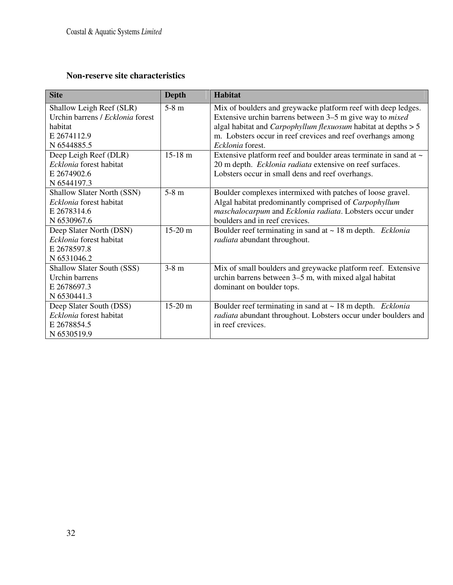## **Non-reserve site characteristics**

| <b>Site</b>                       | <b>Depth</b>      | <b>Habitat</b>                                                          |
|-----------------------------------|-------------------|-------------------------------------------------------------------------|
| Shallow Leigh Reef (SLR)          | $5-8$ m           | Mix of boulders and greywacke platform reef with deep ledges.           |
| Urchin barrens / Ecklonia forest  |                   | Extensive urchin barrens between 3–5 m give way to <i>mixed</i>         |
| habitat                           |                   | algal habitat and <i>Carpophyllum flexuosum</i> habitat at depths $> 5$ |
| E 2674112.9                       |                   | m. Lobsters occur in reef crevices and reef overhangs among             |
| N 6544885.5                       |                   | Ecklonia forest.                                                        |
| Deep Leigh Reef (DLR)             | $15-18$ m         | Extensive platform reef and boulder areas terminate in sand at ~        |
| Ecklonia forest habitat           |                   | 20 m depth. Ecklonia radiata extensive on reef surfaces.                |
| E 2674902.6                       |                   | Lobsters occur in small dens and reef overhangs.                        |
| N 6544197.3                       |                   |                                                                         |
| <b>Shallow Slater North (SSN)</b> | $5-8$ m           | Boulder complexes intermixed with patches of loose gravel.              |
| Ecklonia forest habitat           |                   | Algal habitat predominantly comprised of Carpophyllum                   |
| E 2678314.6                       |                   | maschalocarpum and Ecklonia radiata. Lobsters occur under               |
| N 6530967.6                       |                   | boulders and in reef crevices.                                          |
| Deep Slater North (DSN)           | $15-20 \text{ m}$ | Boulder reef terminating in sand at $\sim$ 18 m depth. <i>Ecklonia</i>  |
| Ecklonia forest habitat           |                   | radiata abundant throughout.                                            |
| E 2678597.8                       |                   |                                                                         |
| N 6531046.2                       |                   |                                                                         |
| Shallow Slater South (SSS)        | $3-8$ m           | Mix of small boulders and greywacke platform reef. Extensive            |
| Urchin barrens                    |                   | urchin barrens between 3–5 m, with mixed algal habitat                  |
| E 2678697.3                       |                   | dominant on boulder tops.                                               |
| N 6530441.3                       |                   |                                                                         |
| Deep Slater South (DSS)           | $15-20$ m         | Boulder reef terminating in sand at $\sim$ 18 m depth. Ecklonia         |
| Ecklonia forest habitat           |                   | radiata abundant throughout. Lobsters occur under boulders and          |
| E 2678854.5                       |                   | in reef crevices.                                                       |
| N 6530519.9                       |                   |                                                                         |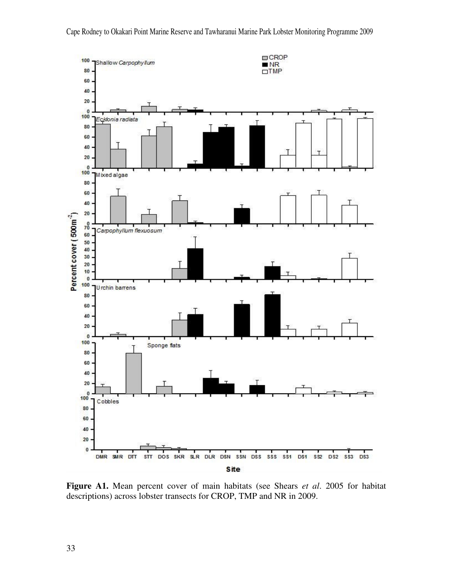

**Figure A1.** Mean percent cover of main habitats (see Shears *et al*. 2005 for habitat descriptions) across lobster transects for CROP, TMP and NR in 2009.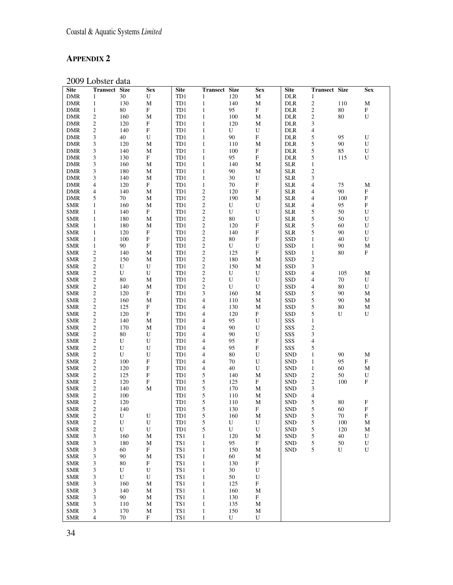# **APPENDIX 2**

2009 Lobster data

| <b>Site</b> | <b>Transect Size</b> |           | <b>Sex</b>                 | <b>Site</b> | <b>Transect Size</b> |           | <b>Sex</b>                | <b>Site</b> | <b>Transect Size</b>     |          | <b>Sex</b>                |
|-------------|----------------------|-----------|----------------------------|-------------|----------------------|-----------|---------------------------|-------------|--------------------------|----------|---------------------------|
| <b>DMR</b>  | 1                    | 30        | ${\bf U}$                  | TD1         | 1                    | 120       | М                         | DLR         | 1                        |          |                           |
| <b>DMR</b>  | $\mathbf{1}$         | 130       | $\mathbf M$                | TD1         | $\mathbf{1}$         | 140       | $\mathbf M$               | <b>DLR</b>  | $\sqrt{2}$               | 110      | $\mathbf M$               |
| <b>DMR</b>  | $\mathbf{1}$         | 80        | $\boldsymbol{\mathrm{F}}$  | TD1         | $\mathbf{1}$         | 95        | F                         | <b>DLR</b>  | $\overline{2}$           | 80       | $\mathbf F$               |
| <b>DMR</b>  | $\mathfrak{2}$       | 160       | M                          | TD1         | $\mathbf{1}$         | 100       | М                         | <b>DLR</b>  | $\sqrt{2}$               | 80       | U                         |
| <b>DMR</b>  | $\mathbf{2}$         | 120       | $\mathbf F$                | TD1         | $\mathbf{1}$         | 120       | М                         | <b>DLR</b>  | $\mathfrak{Z}$           |          |                           |
| <b>DMR</b>  | $\overline{c}$       | 140       | $\mathbf F$                | TD1         | $\mathbf{1}$         | U         | U                         | <b>DLR</b>  | $\overline{4}$           |          |                           |
| <b>DMR</b>  | 3                    | 40        | ${\bf U}$                  | TD1         | $\mathbf{1}$         | 90        | $\mathbf F$               | <b>DLR</b>  | 5                        | 95       | ${\bf U}$                 |
| <b>DMR</b>  | 3                    | 120       | $\mathbf M$                | TD1         | $\mathbf{1}$         | 110       | $\mathbf M$               | <b>DLR</b>  | 5                        | 90       | U                         |
| <b>DMR</b>  | 3                    | 140       | $\mathbf M$                | TD1         | $\mathbf{1}$         | 100       | ${\bf F}$                 | <b>DLR</b>  | 5                        | 85       | ${\bf U}$                 |
| <b>DMR</b>  | 3                    | 130       | $\boldsymbol{\mathrm{F}}$  | TD1         | $\mathbf{1}$         | 95        | ${\bf F}$                 | <b>DLR</b>  | 5                        | 115      | U                         |
|             | 3                    |           |                            | TD1         |                      | 140       | $\mathbf M$               | <b>SLR</b>  |                          |          |                           |
| <b>DMR</b>  |                      | 160       | М                          |             | $\mathbf{1}$         |           |                           |             | $\mathbf{1}$             |          |                           |
| <b>DMR</b>  | 3                    | 180       | М                          | TD1         | $\mathbf{1}$         | 90<br>30  | М                         | <b>SLR</b>  | $\sqrt{2}$               |          |                           |
| <b>DMR</b>  | 3                    | 140       | $\mathbf M$<br>$\mathbf F$ | TD1         | $\mathbf{1}$         | 70        | ${\bf U}$<br>$\mathbf F$  | <b>SLR</b>  | 3                        |          |                           |
| <b>DMR</b>  | 4                    | 120       |                            | TD1         | $\mathbf{1}$         |           |                           | <b>SLR</b>  | $\overline{4}$           | 75<br>90 | М                         |
| <b>DMR</b>  | 4                    | 140       | $\mathbf M$                | TD1         | $\overline{c}$       | 120       | ${\bf F}$                 | <b>SLR</b>  | 4                        |          | $\boldsymbol{\mathrm{F}}$ |
| <b>DMR</b>  | 5                    | 70        | М                          | TD1         | $\sqrt{2}$           | 190       | М                         | <b>SLR</b>  | 4                        | 100      | $\mathbf F$               |
| <b>SMR</b>  | $\mathbf{1}$         | 160       | М                          | TD1         | $\overline{c}$       | ${\bf U}$ | U                         | <b>SLR</b>  | 4                        | 95       | F                         |
| <b>SMR</b>  | $\mathbf{1}$         | 140       | F                          | TD1         | $\mathfrak{2}$       | U         | U                         | <b>SLR</b>  | 5                        | 50       | ${\bf U}$                 |
| <b>SMR</b>  | $\mathbf{1}$         | 180       | М                          | TD1         | $\overline{c}$       | 80        | U                         | <b>SLR</b>  | 5                        | 50       | U                         |
| <b>SMR</b>  | $\mathbf{1}$         | 180       | M                          | TD1         | $\sqrt{2}$           | 120       | ${\bf F}$                 | <b>SLR</b>  | 5                        | 60       | ${\bf U}$                 |
| <b>SMR</b>  | $\mathbf{1}$         | 120       | $\boldsymbol{\mathrm{F}}$  | TD1         | $\overline{c}$       | 140       | $\boldsymbol{\mathrm{F}}$ | <b>SLR</b>  | 5                        | 90       | U                         |
| <b>SMR</b>  | $\mathbf{1}$         | 100       | $\mathbf F$                | TD1         | $\mathfrak{2}$       | $80\,$    | $\mathbf F$               | <b>SSD</b>  | $\mathbf{1}$             | 40       | ${\bf U}$                 |
| <b>SMR</b>  | $\mathbf{1}$         | 90        | $\mathbf F$                | TD1         | $\sqrt{2}$           | U         | U                         | <b>SSD</b>  | $\mathbf{1}$             | 90       | $\mathbf M$               |
| <b>SMR</b>  | $\mathfrak{2}$       | 140       | $\mathbf M$                | TD1         | $\,2$                | 125       | ${\bf F}$                 | SSD         | $\mathbf{1}$             | 80       | ${\bf F}$                 |
| <b>SMR</b>  | $\boldsymbol{2}$     | 150       | М                          | TD1         | $\sqrt{2}$           | 180       | М                         | <b>SSD</b>  | $\sqrt{2}$               |          |                           |
| <b>SMR</b>  | $\overline{c}$       | ${\bf U}$ | ${\bf U}$                  | TD1         | $\mathfrak{2}$       | 150       | $\mathbf M$               | <b>SSD</b>  | 3                        |          |                           |
| <b>SMR</b>  | $\overline{c}$       | U         | U                          | TD1         | $\sqrt{2}$           | U         | U                         | <b>SSD</b>  | $\overline{4}$           | 105      | М                         |
| <b>SMR</b>  | $\overline{c}$       | 80        | $\mathbf M$                | TD1         | $\sqrt{2}$           | U         | U                         | <b>SSD</b>  | 4                        | 70       | ${\bf U}$                 |
| <b>SMR</b>  | $\overline{c}$       | 140       | $\mathbf M$                | TD1         | $\sqrt{2}$           | U         | U                         | <b>SSD</b>  | $\overline{4}$           | 80       | U                         |
| <b>SMR</b>  | $\overline{c}$       | 120       | $\boldsymbol{\mathrm{F}}$  | TD1         | 3                    | 160       | $\mathbf M$               | SSD         | 5                        | 90       | $\mathbf M$               |
| <b>SMR</b>  | $\mathfrak{2}$       | 160       | M                          | TD1         | $\overline{4}$       | 110       | М                         | <b>SSD</b>  | 5                        | 90       | М                         |
| <b>SMR</b>  | $\overline{c}$       | 125       | $\mathbf F$                | TD1         | 4                    | 130       | М                         | <b>SSD</b>  | $\sqrt{5}$               | 80       | М                         |
| <b>SMR</b>  | $\overline{c}$       | 120       | F                          | TD1         | 4                    | 120       | $\mathbf F$               | SSD         | 5                        | U        | U                         |
| <b>SMR</b>  | 2                    | 140       | М                          | TD1         | 4                    | 95        | U                         | SSS         | $\mathbf{1}$             |          |                           |
| <b>SMR</b>  | $\overline{c}$       | 170       | M                          | TD1         | 4                    | 90        | U                         | SSS         | $\sqrt{2}$               |          |                           |
| <b>SMR</b>  | $\overline{c}$       | 80        | U                          | TD1         | 4                    | 90        | U                         | SSS         | 3                        |          |                           |
| <b>SMR</b>  | $\mathfrak{2}$       | ${\bf U}$ | ${\bf U}$                  | TD1         | 4                    | 95        | ${\bf F}$                 | SSS         | $\overline{4}$           |          |                           |
| <b>SMR</b>  | $\mathfrak{2}$       | ${\bf U}$ | $\mathbf U$                | TD1         | 4                    | 95        | $\mathbf F$               | SSS         | 5                        |          |                           |
| <b>SMR</b>  | $\boldsymbol{2}$     | ${\bf U}$ | ${\bf U}$                  | TD1         | $\overline{4}$       | $80\,$    | ${\bf U}$                 | <b>SND</b>  | $\mathbf{1}$             | 90       | $\mathbf M$               |
| <b>SMR</b>  | $\boldsymbol{2}$     | 100       | $\mathbf F$                | TD1         | 4                    | 70        | U                         | <b>SND</b>  | $\mathbf{1}$             | 95       | F                         |
| <b>SMR</b>  | $\overline{c}$       | 120       | $\mathbf F$                | TD1         | $\overline{4}$       | $40\,$    | U                         | <b>SND</b>  | $\mathbf{1}$             | 60       | М                         |
| <b>SMR</b>  | $\overline{c}$       | 125       | $\mathbf F$                | TD1         | 5                    | 140       | М                         | <b>SND</b>  | $\sqrt{2}$               | 50       | ${\bf U}$                 |
| <b>SMR</b>  | 2                    | 120       | $\mathbf F$                | TD1         | 5                    | 125       | $\boldsymbol{\mathrm{F}}$ | <b>SND</b>  | $\sqrt{2}$               | 100      | F                         |
| <b>SMR</b>  | $\mathfrak{2}$       | 140       | $\mathbf M$                | TD1         | 5                    | 170       | М                         | <b>SND</b>  | 3                        |          |                           |
| <b>SMR</b>  | $\overline{c}$       | 100       |                            | TD1         | 5                    | 110       | $\mathbf M$               | <b>SND</b>  | $\overline{\mathcal{A}}$ |          |                           |
| <b>SMR</b>  | $\mathfrak{2}$       | 120       |                            | TD1         | 5                    | 110       | М                         | <b>SND</b>  | 5                        | 80       | $\boldsymbol{\mathrm{F}}$ |
| <b>SMR</b>  | $\overline{c}$       | 140       |                            | TD1         | 5                    | 130       | ${\bf F}$                 | <b>SND</b>  | 5                        | 60       | $\mathbf F$               |
| <b>SMR</b>  | 2                    | U         | U                          | TD1         | 5                    | 160       | $\mathbf M$               | SND         | 5                        | 70       | $\mathbf F$               |
| <b>SMR</b>  | $\overline{c}$       | U         | U                          | TD1         | 5                    | U         | U                         | <b>SND</b>  | $\sqrt{5}$               | 100      | М                         |
| <b>SMR</b>  | $\sqrt{2}$           | U         | U                          | TD1         | $\sqrt{5}$           | U         | U                         | <b>SND</b>  | 5                        | 120      | М                         |
| <b>SMR</b>  | 3                    | 160       | М                          | TS1         | $\mathbf{1}$         | 120       | М                         | <b>SND</b>  | 5                        | 40       | U                         |
| <b>SMR</b>  | 3                    | 180       | $\mathbf M$                | TS1         | $\mathbf{1}$         | 95        | $\mathbf F$               | <b>SND</b>  | 5                        | 50       | ${\bf U}$                 |
| <b>SMR</b>  | 3                    | 60        | $\mathbf F$                | TS1         | $\mathbf{1}$         | 150       | М                         | <b>SND</b>  | 5                        | U        | U                         |
| SMR         | 3                    | 90        | $\mathbf M$                | TS1         | $\mathbf{1}$         | 60        | М                         |             |                          |          |                           |
| <b>SMR</b>  | 3                    | 80        | $\mathbf F$                | TS1         | $\mathbf{1}$         | 130       | F                         |             |                          |          |                           |
| <b>SMR</b>  | 3                    | U         | ${\bf U}$                  | TS1         | $\mathbf{1}$         | 30        | U                         |             |                          |          |                           |
| <b>SMR</b>  | 3                    | U         | U                          | TS1         | $\mathbf{1}$         | 50        | U                         |             |                          |          |                           |
| <b>SMR</b>  | 3                    | 160       | $\mathbf M$                | TS1         | $\mathbf{1}$         | 125       | $\boldsymbol{\mathrm{F}}$ |             |                          |          |                           |
| <b>SMR</b>  | 3                    | 140       | М                          | TS1         | $\mathbf{1}$         | 160       | М                         |             |                          |          |                           |
| <b>SMR</b>  | 3                    | 90        | М                          | TS1         | $\mathbf{1}$         | 130       | $\mathbf F$               |             |                          |          |                           |
| <b>SMR</b>  | 3                    | 110       | M                          | TS1         | $\mathbf{1}$         | 135       | М                         |             |                          |          |                           |
| <b>SMR</b>  | 3                    | 170       | М                          | TS1         | $\mathbf{1}$         | 150       | М                         |             |                          |          |                           |
| <b>SMR</b>  | $\overline{4}$       | 70        | $\mathbf F$                | TS1         | $\mathbf{1}$         | U         | U                         |             |                          |          |                           |
|             |                      |           |                            |             |                      |           |                           |             |                          |          |                           |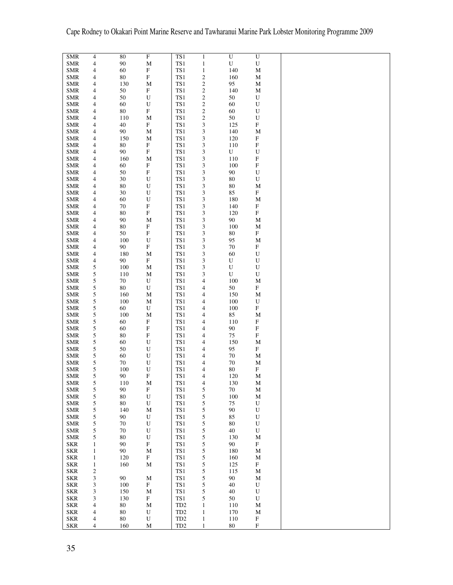| <b>SMR</b>               | $\overline{4}$           | 80           | $\overline{F}$            | TS1                 | $\mathbf{1}$                | $\overline{U}$ | $\overline{U}$            |
|--------------------------|--------------------------|--------------|---------------------------|---------------------|-----------------------------|----------------|---------------------------|
| <b>SMR</b>               | 4                        | $90\text{ }$ | $\mathbf M$               | TS1                 | $\mathbf 1$                 | ${\bf U}$      | $\mathbf U$               |
|                          |                          |              |                           |                     |                             |                |                           |
| <b>SMR</b>               | 4                        | 60           | $\boldsymbol{\mathrm{F}}$ | TS1                 | $\mathbf{1}$                | 140            | $\mathbf M$               |
| <b>SMR</b>               | 4                        | 80           | $\mathbf F$               | TS1                 | $\overline{c}$              | 160            | M                         |
| <b>SMR</b>               | 4                        | 130          | M                         | TS1                 | $\sqrt{2}$                  | 95             | М                         |
|                          |                          |              |                           |                     |                             |                |                           |
| <b>SMR</b>               | $\overline{\mathcal{A}}$ | $50\,$       | $\boldsymbol{\mathrm{F}}$ | TS1                 | $\sqrt{2}$                  | 140            | M                         |
| <b>SMR</b>               | 4                        | 50           | $\mathbf U$               | TS1                 | $\,2$                       | 50             | $\mathbf U$               |
|                          |                          |              |                           |                     |                             |                |                           |
| <b>SMR</b>               | 4                        | 60           | U                         | TS1                 | $\sqrt{2}$                  | 60             | $\mathbf U$               |
| <b>SMR</b>               | 4                        | 80           | $\mathbf F$               | TS1                 | $\sqrt{2}$                  | 60             | U                         |
|                          |                          |              |                           |                     |                             |                |                           |
| <b>SMR</b>               | 4                        | 110          | M                         | TS1                 | $\mathfrak{2}$              | 50             | $\mathbf U$               |
| <b>SMR</b>               | 4                        | 40           | $\boldsymbol{\mathrm{F}}$ | TS1                 | $\ensuremath{\mathfrak{Z}}$ | 125            | $\boldsymbol{\mathrm{F}}$ |
|                          |                          |              |                           |                     |                             |                |                           |
| <b>SMR</b>               | 4                        | 90           | M                         | TS1                 | 3                           | 140            | M                         |
| <b>SMR</b>               | 4                        | 150          | $\mathbf M$               | TS1                 | $\ensuremath{\mathfrak{Z}}$ | 120            | $\mathbf F$               |
|                          |                          |              |                           |                     |                             |                |                           |
| <b>SMR</b>               | 4                        | 80           | $\boldsymbol{\mathrm{F}}$ | TS1                 | $\ensuremath{\mathfrak{Z}}$ | 110            | $\mathbf F$               |
| <b>SMR</b>               | 4                        | 90           | $\boldsymbol{\mathrm{F}}$ | TS1                 | $\ensuremath{\mathfrak{Z}}$ | ${\bf U}$      | $\mathbf U$               |
| <b>SMR</b>               | 4                        | 160          | M                         | TS1                 | 3                           | 110            | $\mathbf F$               |
|                          |                          |              |                           |                     |                             |                |                           |
| <b>SMR</b>               | 4                        | 60           | $\mathbf F$               | TS1                 | $\sqrt{3}$                  | 100            | $\boldsymbol{\mathrm{F}}$ |
| <b>SMR</b>               | 4                        | 50           | $\boldsymbol{\mathrm{F}}$ | TS1                 | 3                           | 90             | U                         |
|                          |                          |              |                           |                     |                             |                |                           |
| <b>SMR</b>               | 4                        | $30\,$       | $\mathbf U$               | TS1                 | $\ensuremath{\mathfrak{Z}}$ | 80             | ${\bf U}$                 |
| <b>SMR</b>               |                          | 80           |                           | TS1                 |                             | 80             |                           |
|                          | 4                        |              | $\mathbf U$               |                     | $\ensuremath{\mathfrak{Z}}$ |                | M                         |
| <b>SMR</b>               | $\overline{\mathcal{A}}$ | 30           | ${\bf U}$                 | TS1                 | $\ensuremath{\mathfrak{Z}}$ | 85             | $\boldsymbol{\mathrm{F}}$ |
|                          |                          | 60           | ${\bf U}$                 | TS1                 |                             | 180            |                           |
| <b>SMR</b>               | 4                        |              |                           |                     | $\ensuremath{\mathfrak{Z}}$ |                | М                         |
| <b>SMR</b>               | 4                        | 70           | $\mathbf F$               | TS1                 | $\ensuremath{\mathfrak{Z}}$ | 140            | $\boldsymbol{\mathrm{F}}$ |
| <b>SMR</b>               | 4                        | 80           | $\mathbf F$               | TS1                 | $\ensuremath{\mathfrak{Z}}$ | 120            | $\mathbf F$               |
|                          |                          |              |                           |                     |                             |                |                           |
| <b>SMR</b>               | 4                        | 90           | M                         | TS1                 | 3                           | 90             | М                         |
| <b>SMR</b>               | 4                        | 80           | $\boldsymbol{\mathrm{F}}$ | TS1                 | $\ensuremath{\mathfrak{Z}}$ | 100            | М                         |
|                          |                          |              |                           |                     |                             |                |                           |
| <b>SMR</b>               | 4                        | 50           | ${\bf F}$                 | TS1                 | 3                           | 80             | F                         |
| <b>SMR</b>               | 4                        | 100          | $\mathbf U$               | TS1                 | $\ensuremath{\mathfrak{Z}}$ | 95             | $\mathbf M$               |
|                          |                          |              |                           |                     |                             |                |                           |
| <b>SMR</b>               | 4                        | 90           | ${\bf F}$                 | TS1                 | $\ensuremath{\mathfrak{Z}}$ | 70             | $\mathbf F$               |
| <b>SMR</b>               | 4                        | 180          | $\mathbf M$               | TS1                 | $\ensuremath{\mathfrak{Z}}$ | 60             | $\mathbf U$               |
|                          |                          |              |                           |                     |                             |                |                           |
| <b>SMR</b>               | 4                        | 90           | $\boldsymbol{\mathrm{F}}$ | TS1                 | 3                           | ${\bf U}$      | $\mathbf U$               |
| <b>SMR</b>               | 5                        | 100          | $\mathbf M$               | TS1                 | $\ensuremath{\mathfrak{Z}}$ | ${\bf U}$      | ${\bf U}$                 |
|                          |                          |              |                           |                     |                             |                |                           |
| <b>SMR</b>               | 5                        | 110          | M                         | TS1                 | 3                           | U              | U                         |
| <b>SMR</b>               | 5                        | 70           | ${\bf U}$                 | TS1                 | $\overline{\mathcal{A}}$    | 100            | $\mathbf M$               |
|                          |                          |              |                           |                     |                             |                |                           |
| <b>SMR</b>               | 5                        | 80           | U                         | TS1                 | $\overline{\mathcal{A}}$    | 50             | $\mathbf F$               |
|                          |                          |              |                           |                     |                             |                |                           |
| <b>SMR</b>               | 5                        | 160          | $\mathbf M$               | TS1                 | 4                           | 150            | M                         |
| <b>SMR</b>               | 5                        | 100          | M                         | TS1                 | $\overline{\mathcal{A}}$    | 100            | $\mathbf U$               |
|                          |                          |              |                           |                     |                             |                |                           |
| <b>SMR</b>               | 5                        | 60           | U                         | TS1                 | 4                           | 100            | $\mathbf F$               |
| <b>SMR</b>               | 5                        | 100          | M                         | TS1                 | $\overline{\mathcal{A}}$    | 85             | М                         |
|                          |                          |              |                           |                     |                             |                |                           |
| <b>SMR</b>               | 5                        | 60           | $\boldsymbol{\mathrm{F}}$ | TS1                 | 4                           | 110            | $\boldsymbol{\mathrm{F}}$ |
| <b>SMR</b>               | 5                        | 60           | $\mathbf F$               | TS1                 | $\overline{\mathcal{A}}$    | 90             | $\boldsymbol{\mathrm{F}}$ |
|                          |                          |              |                           |                     |                             |                |                           |
| <b>SMR</b>               | 5                        | 80           | $\boldsymbol{\mathrm{F}}$ | TS1                 | 4                           | 75             | $\boldsymbol{\mathrm{F}}$ |
| <b>SMR</b>               | 5                        | 60           | ${\bf U}$                 | TS1                 | $\overline{\mathcal{A}}$    | 150            | М                         |
|                          |                          |              |                           |                     |                             |                |                           |
| <b>SMR</b>               | 5                        | 50           | U                         | TS1                 | 4                           | 95             | $\mathbf F$               |
|                          |                          |              |                           |                     |                             |                |                           |
| <b>SMR</b>               | 5                        | 60           | ${\bf U}$                 | TS1                 | $\overline{\mathcal{A}}$    | 70             | М                         |
| <b>SMR</b>               | 5                        | 70           | U                         | TS1                 | 4                           | $70\,$         | М                         |
|                          |                          |              |                           |                     |                             |                |                           |
| <b>SMR</b>               | 5                        | 100          | $\mathbf U$               | TS1                 | 4                           | $80\,$         | $\boldsymbol{\mathrm{F}}$ |
| <b>SMR</b>               | 5                        | 90           | $\boldsymbol{\mathrm{F}}$ | TS1                 | 4                           | 120            | М                         |
|                          |                          |              |                           |                     |                             |                |                           |
| SMR                      | 5                        | 110          | M                         | TS1                 | 4                           | 130            | M                         |
| <b>SMR</b>               | $\sqrt{5}$               | 90           | ${\bf F}$                 | TS1                 | 5                           | 70             | M                         |
|                          |                          |              |                           |                     |                             |                |                           |
| <b>SMR</b>               | 5                        | $80\,$       | ${\bf U}$                 | TS1                 | 5                           | 100            | $\mathbf M$               |
| <b>SMR</b>               | 5                        | 80           | $\mathbf U$               | TS1                 | 5                           | $75\,$         | ${\bf U}$                 |
|                          |                          |              |                           |                     |                             |                |                           |
| <b>SMR</b>               | 5                        | 140          | $\mathbf M$               | TS1                 | 5                           | 90             | ${\bf U}$                 |
|                          |                          | 90           | U                         | TS1                 |                             | 85             |                           |
| <b>SMR</b>               | 5                        |              |                           |                     | 5                           |                | U                         |
| <b>SMR</b>               | 5                        | 70           | U                         | TS1                 | 5                           | 80             | U                         |
| <b>SMR</b>               | 5                        | 70           | ${\bf U}$                 | TS1                 | 5                           | 40             | U                         |
|                          |                          |              |                           |                     |                             |                |                           |
| <b>SMR</b>               | 5                        | 80           | U                         | TS1                 | 5                           | 130            | М                         |
|                          |                          |              |                           |                     |                             |                |                           |
| <b>SKR</b>               | $\mathbf{1}$             | 90           | $\mathbf F$               | TS1                 | 5                           | 90             | ${\bf F}$                 |
| <b>SKR</b>               | $\mathbf{1}$             | 90           | М                         | TS1                 | 5                           | 180            | М                         |
|                          | $\mathbf{1}$             | 120          | ${\bf F}$                 | TS1                 | 5                           |                |                           |
| <b>SKR</b>               |                          |              |                           |                     |                             | 160            | М                         |
| <b>SKR</b>               | $\mathbf{1}$             | 160          | M                         | TS1                 | 5                           | 125            | $\boldsymbol{\mathrm{F}}$ |
|                          |                          |              |                           | TS1                 | 5                           | 115            |                           |
| <b>SKR</b>               | 2                        |              |                           |                     |                             |                | M                         |
| <b>SKR</b>               | 3                        | 90           | M                         | TS1                 | 5                           | 90             | М                         |
| <b>SKR</b>               | 3                        | 100          | ${\bf F}$                 | TS1                 | 5                           | 40             | ${\bf U}$                 |
|                          |                          |              |                           |                     |                             |                |                           |
| <b>SKR</b>               | 3                        | 150          | M                         | TS1                 | 5                           | 40             | ${\bf U}$                 |
| <b>SKR</b>               | 3                        | 130          | $\mathbf F$               | $\text{T}\text{S}1$ | 5                           | 50             | ${\bf U}$                 |
|                          |                          |              |                           |                     |                             |                |                           |
| <b>SKR</b>               | 4                        | 80           | М                         | TD <sub>2</sub>     | $\mathbf{1}$                | 110            | М                         |
|                          |                          |              |                           |                     |                             |                |                           |
| <b>SKR</b>               | 4                        | 80           | ${\bf U}$                 | TD <sub>2</sub>     | $\mathbf{1}$                | 170            | M                         |
|                          | 4                        | 80           | U                         | TD <sub>2</sub>     | $\mathbf{1}$                | 110            | $\mathbf F$               |
|                          |                          |              |                           |                     |                             |                |                           |
| <b>SKR</b><br><b>SKR</b> | $\overline{4}$           | 160          | $\mathbf M$               | TD <sub>2</sub>     | $\mathbf{1}$                | 80             | F                         |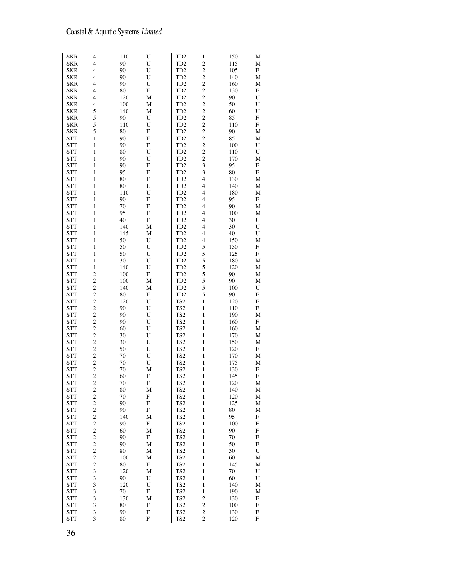| <b>SKR</b>               | $\overline{\mathcal{A}}$ | 110          | $\overline{U}$                           | TD <sub>2</sub>                                   | $\mathbf{1}$                | 150    | ${\bf M}$                 |  |
|--------------------------|--------------------------|--------------|------------------------------------------|---------------------------------------------------|-----------------------------|--------|---------------------------|--|
| <b>SKR</b>               | 4                        | 90           | ${\bf U}$                                | TD <sub>2</sub>                                   | $\sqrt{2}$                  | 115    | $\mathbf M$               |  |
| <b>SKR</b>               | 4                        | $90\,$       | $\mathbf U$                              | TD <sub>2</sub>                                   | $\sqrt{2}$                  | 105    | ${\rm F}$                 |  |
| <b>SKR</b>               | 4                        | 90           | $\mathbf U$                              | TD <sub>2</sub>                                   | $\sqrt{2}$                  | 140    | M                         |  |
| <b>SKR</b>               | 4                        | 90           | ${\bf U}$                                | TD <sub>2</sub>                                   | $\overline{\mathbf{c}}$     | 160    | M                         |  |
| <b>SKR</b>               | 4                        | 80           | ${\bf F}$                                | TD <sub>2</sub>                                   | $\sqrt{2}$                  | 130    | ${\rm F}$                 |  |
| <b>SKR</b>               | 4                        | 120          | M                                        | TD <sub>2</sub>                                   | $\sqrt{2}$                  | 90     | ${\bf U}$                 |  |
| <b>SKR</b>               | 4                        | 100          | M                                        | TD <sub>2</sub>                                   | $\sqrt{2}$                  | 50     | U                         |  |
| <b>SKR</b>               | 5                        | 140          | $\mathbf M$                              | TD <sub>2</sub>                                   | $\sqrt{2}$                  | 60     | ${\bf U}$                 |  |
| <b>SKR</b>               | 5                        | 90           | U                                        | TD <sub>2</sub>                                   | $\sqrt{2}$                  | 85     | $\boldsymbol{\mathrm{F}}$ |  |
| <b>SKR</b>               | 5                        | 110          | ${\bf U}$                                | $\ensuremath{\mathsf{T}}\ensuremath{\mathsf{D}}2$ | $\boldsymbol{2}$            | 110    | ${\bf F}$                 |  |
| <b>SKR</b>               | 5                        | 80           | $\mathbf F$                              | TD <sub>2</sub>                                   | $\sqrt{2}$                  | $90\,$ | M                         |  |
| <b>STT</b>               | $\mathbf{1}$             | 90           | ${\bf F}$                                | TD <sub>2</sub>                                   | $\sqrt{2}$                  | 85     | M                         |  |
| <b>STT</b>               | $\mathbf{1}$             | $90\,$       | $\mathbf F$                              | TD <sub>2</sub>                                   | $\sqrt{2}$                  | 100    | U                         |  |
| <b>STT</b>               | $\mathbf{1}$             | 80           | ${\bf U}$                                | TD <sub>2</sub>                                   | $\sqrt{2}$                  | 110    | U                         |  |
| <b>STT</b>               | $\mathbf{1}$             | 90           | ${\bf U}$                                | TD <sub>2</sub>                                   | $\sqrt{2}$                  | 170    | $\mathbf M$               |  |
| <b>STT</b>               | $\mathbf{1}$             | $90\,$       | $\mathbf F$                              | TD <sub>2</sub>                                   | $\ensuremath{\mathfrak{Z}}$ | 95     | ${\rm F}$                 |  |
| <b>STT</b>               | $\mathbf{1}$             | 95           | $\boldsymbol{\mathrm{F}}$                | TD <sub>2</sub>                                   | 3                           | $80\,$ | F                         |  |
| <b>STT</b>               | $\mathbf{1}$             | 80           | $\mathbf F$                              | TD <sub>2</sub>                                   | $\overline{\mathcal{A}}$    | 130    | M                         |  |
| <b>STT</b>               | $\mathbf{1}$             | 80           | ${\bf U}$                                | TD <sub>2</sub>                                   |                             | 140    | M                         |  |
| <b>STT</b>               | $\mathbf{1}$             | 110          | ${\bf U}$                                | TD <sub>2</sub>                                   | 4                           | 180    | M                         |  |
| <b>STT</b>               | $\mathbf{1}$             | 90           | $\boldsymbol{\mathrm{F}}$                | TD <sub>2</sub>                                   | 4                           | 95     | $\mathbf F$               |  |
|                          |                          |              |                                          |                                                   | 4                           |        |                           |  |
| <b>STT</b>               | $\mathbf{1}$             | 70           | $\mathbf F$                              | TD <sub>2</sub>                                   | 4                           | 90     | $\mathbf M$               |  |
| <b>STT</b><br><b>STT</b> | $\mathbf{1}$             | 95<br>$40\,$ | $\boldsymbol{\mathrm{F}}$<br>$\mathbf F$ | TD <sub>2</sub><br>TD <sub>2</sub>                | $\overline{\mathcal{A}}$    | 100    | $\mathbf M$               |  |
|                          | $\mathbf{1}$             |              |                                          |                                                   | $\overline{\mathcal{A}}$    | $30\,$ | U                         |  |
| <b>STT</b>               | $\mathbf{1}$             | 140          | M                                        | TD <sub>2</sub>                                   | $\overline{\mathcal{A}}$    | $30\,$ | ${\bf U}$                 |  |
| <b>STT</b>               | 1                        | 145          | $\mathbf M$                              | TD <sub>2</sub>                                   | 4                           | $40\,$ | U                         |  |
| <b>STT</b>               | $\mathbf{1}$             | 50           | U                                        | TD <sub>2</sub>                                   | $\overline{\mathcal{A}}$    | 150    | M                         |  |
| <b>STT</b>               | $\mathbf{1}$             | 50           | ${\bf U}$                                | TD <sub>2</sub>                                   | 5                           | 130    | F                         |  |
| <b>STT</b>               | $\mathbf{1}$             | 50           | ${\bf U}$                                | TD <sub>2</sub>                                   | 5                           | 125    | $\mathbf F$               |  |
| <b>STT</b>               | $\mathbf{1}$             | $30\,$       | ${\bf U}$                                | TD <sub>2</sub>                                   | 5                           | 180    | M                         |  |
| <b>STT</b>               | $\mathbf{1}$             | 140          | ${\bf U}$                                | TD <sub>2</sub>                                   | 5                           | 120    | M                         |  |
| <b>STT</b>               | $\overline{c}$           | 100          | ${\bf F}$                                | TD <sub>2</sub>                                   | 5                           | 90     | $\mathbf M$               |  |
| <b>STT</b>               | $\sqrt{2}$               | 100          | M                                        | TD <sub>2</sub>                                   | 5                           | 90     | M                         |  |
| <b>STT</b>               | $\overline{\mathbf{c}}$  | 140          | M                                        | TD <sub>2</sub>                                   | 5                           | 100    | U                         |  |
| <b>STT</b>               | $\overline{\mathbf{c}}$  | 80           | ${\bf F}$                                | TD <sub>2</sub>                                   | 5                           | 90     | ${\bf F}$                 |  |
| <b>STT</b>               | $\overline{\mathbf{c}}$  | 120          | U                                        | TS <sub>2</sub>                                   | $\mathbf{1}$                | 120    | $\boldsymbol{\mathrm{F}}$ |  |
| <b>STT</b>               | $\sqrt{2}$               | 90           | U                                        | TS <sub>2</sub>                                   | $\mathbf{1}$                | 110    | ${\bf F}$                 |  |
| <b>STT</b>               | $\sqrt{2}$               | 90           | ${\bf U}$                                | $\operatorname{TS2}$                              | $\mathbf{1}$                | 190    | M                         |  |
| <b>STT</b>               | $\overline{\mathbf{c}}$  | 90           | $\mathbf U$                              | $\operatorname{TS2}$                              | $\mathbf{1}$                | 160    | ${\rm F}$                 |  |
| <b>STT</b>               | $\overline{\mathbf{c}}$  | 60           | $\mathbf U$                              | TS <sub>2</sub>                                   | $\mathbf{1}$                | 160    | M                         |  |
| <b>STT</b>               | $\overline{\mathbf{c}}$  | $30\,$       | $\mathbf U$                              | TS <sub>2</sub>                                   | $\mathbf{1}$                | 170    | M                         |  |
| <b>STT</b>               | $\overline{\mathbf{c}}$  | 30           | ${\bf U}$                                | TS <sub>2</sub>                                   | $\mathbf{1}$                | 150    | M                         |  |
| <b>STT</b>               | 2                        | 50           | ${\bf U}$                                | $\operatorname{TS2}$                              | $\mathbf{1}$                | 120    | F                         |  |
| <b>STT</b>               | $\overline{c}$           | 70           | ${\bf U}$                                | TS <sub>2</sub>                                   | $\mathbf{1}$                | 170    | M                         |  |
| <b>STT</b>               | 2                        | $70\,$       | ${\bf U}$                                | TS <sub>2</sub>                                   | $\mathbf{1}$                | 175    | M                         |  |
| <b>STT</b>               | $\overline{c}$           | 70           | $\mathbf M$                              | TS <sub>2</sub>                                   | $\mathbf{1}$                | 130    | ${\rm F}$                 |  |
| <b>STT</b>               | $\mathbf{2}$             | 60           | F                                        | TS <sub>2</sub>                                   | $\mathbf{1}$                | 145    | F                         |  |
| $\operatorname{STT}$     | $\overline{\mathbf{c}}$  | $70\,$       | ${\bf F}$                                | $\operatorname{TS2}$                              | 1                           | 120    | $\mathbf M$               |  |
| <b>STT</b>               | $\boldsymbol{2}$         | 80           | M                                        | TS <sub>2</sub>                                   | $\mathbf{1}$                | 140    | M                         |  |
| <b>STT</b>               | $\sqrt{2}$               | 70           | $\mathbf F$                              | TS <sub>2</sub>                                   | $\mathbf{1}$                | 120    | М                         |  |
| <b>STT</b>               | $\boldsymbol{2}$         | 90           | $\mathbf F$                              | $\operatorname{TS2}$                              | $\mathbf{1}$                | 125    | $\mathbf M$               |  |
| <b>STT</b>               | $\sqrt{2}$               | 90           | ${\bf F}$                                | $\operatorname{TS2}$                              | $\mathbf{1}$                | 80     | М                         |  |
| $\operatorname{STT}$     | $\sqrt{2}$               | 140          | $\mathbf M$                              | $\operatorname{TS2}$                              | $\mathbf{1}$                | 95     | ${\bf F}$                 |  |
| $\operatorname{STT}$     | $\sqrt{2}$               | 90           | $\mathbf F$                              | $\operatorname{TS2}$                              | $\mathbf{1}$                | 100    | $\mathbf F$               |  |
| <b>STT</b>               | $\overline{\mathbf{c}}$  | 60           | $\mathbf M$                              | TS <sub>2</sub>                                   | $\mathbf{1}$                | 90     | ${\bf F}$                 |  |
| $\operatorname{STT}$     | $\sqrt{2}$               | $90\,$       | $\mathbf F$                              | TS <sub>2</sub>                                   | $\mathbf{1}$                | $70\,$ | $\mathbf F$               |  |
| <b>STT</b>               | $\mathfrak{2}$           | 90           | M                                        | TS <sub>2</sub>                                   | $\mathbf{1}$                | 50     | F                         |  |
| <b>STT</b>               | $\sqrt{2}$               | 80           | $\mathbf M$                              | $\operatorname{TS2}$                              | $\mathbf{1}$                | 30     | U                         |  |
| <b>STT</b>               | $\sqrt{2}$               | 100          | $\mathbf M$                              | TS <sub>2</sub>                                   | $\mathbf{1}$                | 60     | M                         |  |
| $\operatorname{STT}$     | $\sqrt{2}$               | 80           | $\mathbf{F}$                             | TS <sub>2</sub>                                   | $\mathbf{1}$                | 145    | M                         |  |
| <b>STT</b>               | 3                        | 120          | $\mathbf M$                              | TS <sub>2</sub>                                   | $\mathbf{1}$                | 70     | U                         |  |
| $\operatorname{STT}$     | 3                        | 90           | U                                        | TS <sub>2</sub>                                   | $\mathbf{1}$                | 60     | ${\bf U}$                 |  |
| <b>STT</b>               | 3                        | 120          | ${\bf U}$                                | TS <sub>2</sub>                                   | $\mathbf{1}$                | 140    | М                         |  |
| $\operatorname{STT}$     | 3                        | $70\,$       | ${\bf F}$                                | $\operatorname{TS2}$                              | $\mathbf{1}$                | 190    | M                         |  |
| <b>STT</b>               | 3                        | 130          | $\mathbf M$                              | TS <sub>2</sub>                                   | $\sqrt{2}$                  | 130    | $\mathbf F$               |  |
| $\operatorname{STT}$     | 3                        | 80           | $\boldsymbol{\mathrm{F}}$                | TS <sub>2</sub>                                   | $\overline{\mathbf{c}}$     | 100    | $\mathbf F$               |  |
| <b>STT</b>               | 3                        | 90           | ${\bf F}$                                | TS <sub>2</sub>                                   | $\sqrt{2}$                  | 130    | $\mathbf F$               |  |
| <b>STT</b>               | 3                        | 80           | $\mathbf F$                              | TS <sub>2</sub>                                   | $\sqrt{2}$                  | 120    | $\mathbf F$               |  |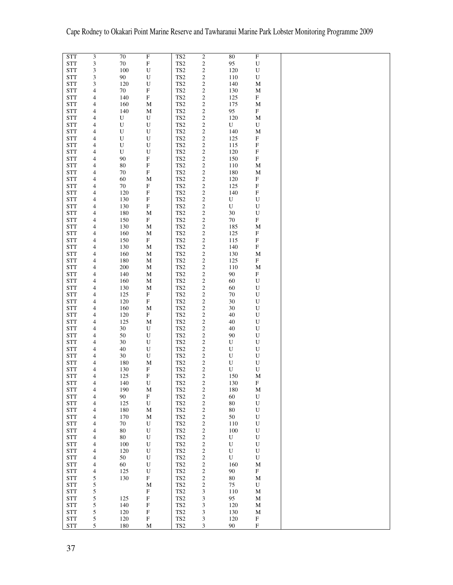| <b>STT</b>           | 3                        | 70        | $\boldsymbol{\mathrm{F}}$ | TS <sub>2</sub>      | $\overline{c}$              | 80          | $\mathbf{F}$              |  |
|----------------------|--------------------------|-----------|---------------------------|----------------------|-----------------------------|-------------|---------------------------|--|
|                      |                          |           |                           |                      |                             |             |                           |  |
| <b>STT</b>           | 3                        | $70\,$    | $\mathbf F$               | $\operatorname{TS2}$ | $\boldsymbol{2}$            | 95          | $\mathbf U$               |  |
| <b>STT</b>           | 3                        | 100       | ${\bf U}$                 | TS <sub>2</sub>      | $\boldsymbol{2}$            | 120         | ${\bf U}$                 |  |
|                      |                          |           |                           |                      |                             |             |                           |  |
| <b>STT</b>           | 3                        | $90\,$    | $\mathbf U$               | TS <sub>2</sub>      | $\sqrt{2}$                  | 110         | U                         |  |
| <b>STT</b>           | 3                        | 120       | U                         | TS <sub>2</sub>      | $\boldsymbol{2}$            | 140         | M                         |  |
|                      |                          |           |                           |                      |                             |             |                           |  |
| <b>STT</b>           | 4                        | $70\,$    | $\mathbf F$               | TS <sub>2</sub>      | $\boldsymbol{2}$            | 130         | M                         |  |
| <b>STT</b>           | 4                        | 140       | $\boldsymbol{\mathrm{F}}$ | TS <sub>2</sub>      | $\sqrt{2}$                  | 125         | ${\bf F}$                 |  |
|                      |                          |           |                           |                      |                             |             |                           |  |
| <b>STT</b>           | 4                        | 160       | $\mathbf M$               | $\operatorname{TS2}$ | $\sqrt{2}$                  | 175         | $\mathbf M$               |  |
| <b>STT</b>           |                          | 140       |                           | TS <sub>2</sub>      |                             | 95          | ${\bf F}$                 |  |
|                      | 4                        |           | M                         |                      | $\boldsymbol{2}$            |             |                           |  |
| <b>STT</b>           | 4                        | ${\bf U}$ | ${\bf U}$                 | $\operatorname{TS2}$ | $\sqrt{2}$                  | 120         | M                         |  |
|                      |                          |           |                           |                      |                             |             |                           |  |
| <b>STT</b>           | 4                        | U         | ${\bf U}$                 | TS <sub>2</sub>      | $\sqrt{2}$                  | U           | U                         |  |
| <b>STT</b>           | 4                        | U         | $\mathbf U$               | TS <sub>2</sub>      | $\overline{c}$              | 140         | $\mathbf M$               |  |
|                      |                          |           |                           |                      |                             |             |                           |  |
| <b>STT</b>           | 4                        | U         | ${\bf U}$                 | $\operatorname{TS2}$ | $\sqrt{2}$                  | 125         | $\boldsymbol{\mathrm{F}}$ |  |
| <b>STT</b>           | 4                        | ${\bf U}$ | ${\bf U}$                 | $\operatorname{TS2}$ | $\sqrt{2}$                  | 115         | $\mathbf F$               |  |
|                      |                          |           |                           |                      |                             |             |                           |  |
| <b>STT</b>           | 4                        | U         | ${\bf U}$                 | $\operatorname{TS2}$ | $\sqrt{2}$                  | 120         | $\mathbf F$               |  |
| <b>STT</b>           | 4                        | 90        | $\boldsymbol{\mathrm{F}}$ | $\operatorname{TS2}$ | $\sqrt{2}$                  | 150         | $\mathbf F$               |  |
|                      |                          |           |                           |                      |                             |             |                           |  |
| <b>STT</b>           | 4                        | $80\,$    | $\boldsymbol{\mathrm{F}}$ | TS <sub>2</sub>      | $\overline{\mathbf{c}}$     | 110         | M                         |  |
| <b>STT</b>           | 4                        | 70        | $\mathbf F$               | TS <sub>2</sub>      | $\boldsymbol{2}$            | 180         | M                         |  |
|                      |                          |           |                           |                      |                             |             |                           |  |
| <b>STT</b>           | 4                        | 60        | $\mathbf M$               | $\operatorname{TS2}$ | $\boldsymbol{2}$            | 120         | ${\bf F}$                 |  |
| <b>STT</b>           | 4                        | 70        | $\boldsymbol{\mathrm{F}}$ | TS <sub>2</sub>      | $\boldsymbol{2}$            | 125         | $\boldsymbol{\mathrm{F}}$ |  |
|                      |                          |           |                           |                      |                             |             |                           |  |
| <b>STT</b>           | 4                        | 120       | $\mathbf F$               | $\operatorname{TS2}$ | $\boldsymbol{2}$            | 140         | $\boldsymbol{\mathrm{F}}$ |  |
| <b>STT</b>           |                          | 130       | $\boldsymbol{\mathrm{F}}$ | TS <sub>2</sub>      |                             | ${\bf U}$   | $\mathbf U$               |  |
|                      | 4                        |           |                           |                      | $\sqrt{2}$                  |             |                           |  |
| <b>STT</b>           | 4                        | 130       | $\boldsymbol{\mathrm{F}}$ | $\operatorname{TS2}$ | $\boldsymbol{2}$            | U           | $\mathbf U$               |  |
|                      |                          |           |                           |                      |                             |             |                           |  |
| <b>STT</b>           | 4                        | 180       | $\mathbf M$               | TS <sub>2</sub>      | $\boldsymbol{2}$            | 30          | ${\bf U}$                 |  |
| <b>STT</b>           | 4                        | 150       | $\boldsymbol{\mathrm{F}}$ | $\operatorname{TS2}$ | $\sqrt{2}$                  | $70\,$      | $\mathbf F$               |  |
|                      |                          |           |                           |                      |                             |             |                           |  |
| <b>STT</b>           | 4                        | 130       | M                         | TS <sub>2</sub>      | $\sqrt{2}$                  | 185         | M                         |  |
| <b>STT</b>           | 4                        | 160       | M                         | $\operatorname{TS2}$ | $\sqrt{2}$                  | 125         | $\boldsymbol{\mathrm{F}}$ |  |
|                      |                          |           |                           |                      |                             |             |                           |  |
| <b>STT</b>           | 4                        | 150       | $\mathbf F$               | $\operatorname{TS2}$ | $\sqrt{2}$                  | 115         | $\boldsymbol{\mathrm{F}}$ |  |
| <b>STT</b>           | 4                        | 130       | $\mathbf M$               | $\operatorname{TS2}$ | $\sqrt{2}$                  | 140         | $\boldsymbol{\mathrm{F}}$ |  |
|                      |                          |           |                           |                      |                             |             |                           |  |
| <b>STT</b>           | 4                        | 160       | $\mathbf M$               | $\operatorname{TS2}$ | $\sqrt{2}$                  | 130         | M                         |  |
| <b>STT</b>           | 4                        | 180       | $\mathbf M$               | $\operatorname{TS2}$ | $\sqrt{2}$                  | 125         | ${\bf F}$                 |  |
|                      |                          |           |                           |                      |                             |             |                           |  |
| <b>STT</b>           | 4                        | 200       | $\mathbf M$               | TS <sub>2</sub>      | $\overline{\mathbf{c}}$     | 110         | $\mathbf M$               |  |
| <b>STT</b>           | 4                        | 140       | M                         | TS <sub>2</sub>      | $\boldsymbol{2}$            | 90          | $\boldsymbol{\mathrm{F}}$ |  |
|                      |                          |           |                           |                      |                             |             |                           |  |
| <b>STT</b>           | 4                        | 160       | $\mathbf M$               | TS <sub>2</sub>      | $\boldsymbol{2}$            | 60          | U                         |  |
| <b>STT</b>           | 4                        | 130       | M                         | TS <sub>2</sub>      | $\sqrt{2}$                  | 60          | U                         |  |
|                      |                          |           |                           |                      |                             |             |                           |  |
| <b>STT</b>           | 4                        | 125       | ${\bf F}$                 | $\operatorname{TS2}$ | $\boldsymbol{2}$            | $70\,$      | $\mathbf U$               |  |
|                      |                          |           |                           |                      |                             |             |                           |  |
| <b>STT</b>           | 4                        | 120       | $\boldsymbol{\mathrm{F}}$ | TS <sub>2</sub>      | $\sqrt{2}$                  | 30          | $\mathbf U$               |  |
| <b>STT</b>           | 4                        | 160       | $\mathbf M$               | $\operatorname{TS2}$ | $\sqrt{2}$                  | 30          | $\mathbf U$               |  |
|                      |                          |           |                           |                      |                             |             |                           |  |
| <b>STT</b>           | 4                        | 120       | ${\bf F}$                 | TS <sub>2</sub>      | $\boldsymbol{2}$            | 40          | U                         |  |
| <b>STT</b>           | 4                        | 125       | $\mathbf M$               | $\operatorname{TS2}$ | $\sqrt{2}$                  | 40          | U                         |  |
|                      |                          |           |                           |                      |                             |             |                           |  |
| <b>STT</b>           | 4                        | 30        | ${\bf U}$                 | TS <sub>2</sub>      | $\sqrt{2}$                  | 40          | U                         |  |
| <b>STT</b>           | 4                        | 50        | U                         | TS <sub>2</sub>      | $\sqrt{2}$                  | 90          | U                         |  |
|                      |                          |           |                           |                      |                             |             |                           |  |
| <b>STT</b>           | 4                        | 30        | U                         | $\operatorname{TS2}$ | $\sqrt{2}$                  | U           | U                         |  |
| <b>STT</b>           | 4                        | 40        | U                         | TS <sub>2</sub>      | $\sqrt{2}$                  | $\mathbf U$ | ${\bf U}$                 |  |
|                      |                          |           |                           |                      |                             |             |                           |  |
| <b>STT</b>           | 4                        | 30        | ${\bf U}$                 | $\operatorname{TS2}$ | $\sqrt{2}$                  | $\mathbf U$ | U                         |  |
| <b>STT</b>           | 4                        | 180       | M                         | $\operatorname{TS2}$ | $\boldsymbol{2}$            | $\mathbf U$ | ${\bf U}$                 |  |
|                      |                          |           |                           |                      |                             |             |                           |  |
| <b>STT</b>           | 4                        | 130       | $\boldsymbol{\mathrm{F}}$ | TS <sub>2</sub>      | $\boldsymbol{2}$            | ${\bf U}$   | $\mathbf U$               |  |
| <b>STT</b>           | 4                        | 125       | F                         | TS <sub>2</sub>      | $\sqrt{2}$                  | 150         | $\mathbf M$               |  |
|                      |                          |           |                           |                      |                             |             |                           |  |
| <b>STT</b>           | 4                        | 140       | U                         | TS <sub>2</sub>      | 2                           | 130         | F                         |  |
| <b>STT</b>           | 4                        | 190       | M                         | TS <sub>2</sub>      | $\sqrt{2}$                  | 180         | M                         |  |
|                      |                          |           |                           |                      |                             |             |                           |  |
| <b>STT</b>           | 4                        | $90\,$    | ${\bf F}$                 | TS <sub>2</sub>      | $\sqrt{2}$                  | 60          | U                         |  |
| <b>STT</b>           | 4                        | 125       | U                         | TS <sub>2</sub>      | $\sqrt{2}$                  | $80\,$      | ${\bf U}$                 |  |
|                      |                          |           |                           |                      |                             |             |                           |  |
| $\operatorname{STT}$ | 4                        | 180       | $\mathbf M$               | TS <sub>2</sub>      | $\sqrt{2}$                  | 80          | U                         |  |
| <b>STT</b>           | 4                        | 170       | $\mathbf M$               | TS <sub>2</sub>      | $\sqrt{2}$                  | 50          | $\mathbf U$               |  |
|                      |                          |           |                           |                      |                             |             |                           |  |
| $\operatorname{STT}$ | 4                        | $70\,$    | U                         | $\operatorname{TS2}$ | $\sqrt{2}$                  | 110         | ${\bf U}$                 |  |
| <b>STT</b>           | 4                        | $80\,$    | ${\bf U}$                 | TS <sub>2</sub>      | $\sqrt{2}$                  | 100         | U                         |  |
|                      |                          |           |                           |                      |                             |             |                           |  |
| $\operatorname{STT}$ | 4                        | 80        | ${\bf U}$                 | $\operatorname{TS2}$ | $\sqrt{2}$                  | U           | ${\bf U}$                 |  |
| <b>STT</b>           | 4                        | 100       | ${\bf U}$                 | TS <sub>2</sub>      | $\sqrt{2}$                  | ${\bf U}$   | ${\bf U}$                 |  |
|                      |                          |           |                           |                      |                             |             |                           |  |
| <b>STT</b>           | 4                        | 120       | ${\bf U}$                 | $\operatorname{TS2}$ | $\sqrt{2}$                  | ${\bf U}$   | ${\bf U}$                 |  |
| $\operatorname{STT}$ | 4                        | 50        | $\mathbf U$               | TS <sub>2</sub>      | $\sqrt{2}$                  | ${\bf U}$   | ${\bf U}$                 |  |
|                      |                          |           |                           |                      |                             |             |                           |  |
| <b>STT</b>           | 4                        | 60        | $\mathbf U$               | $\operatorname{TS2}$ | $\sqrt{2}$                  | 160         | M                         |  |
| <b>STT</b>           | $\overline{\mathcal{A}}$ | 125       | ${\bf U}$                 | TS <sub>2</sub>      | $\boldsymbol{2}$            | 90          | $\mathbf F$               |  |
|                      |                          |           |                           |                      |                             |             |                           |  |
| <b>STT</b>           | 5                        | 130       | ${\bf F}$                 | $\operatorname{TS2}$ | $\boldsymbol{2}$            | $80\,$      | M                         |  |
| <b>STT</b>           | 5                        |           | $\mathbf M$               | TS <sub>2</sub>      | $\sqrt{2}$                  | 75          | U                         |  |
|                      |                          |           |                           |                      |                             |             |                           |  |
| <b>STT</b>           | 5                        |           | $\boldsymbol{\mathrm{F}}$ | TS <sub>2</sub>      | 3                           | 110         | М                         |  |
|                      |                          | 125       | ${\bf F}$                 | TS <sub>2</sub>      |                             | 95          |                           |  |
| <b>STT</b>           | 5                        |           |                           |                      | $\ensuremath{\mathfrak{Z}}$ |             | M                         |  |
| $\operatorname{STT}$ | 5                        | 140       | $\mathbf F$               | TS <sub>2</sub>      | 3                           | 120         | M                         |  |
|                      |                          |           |                           |                      |                             |             |                           |  |
| $\operatorname{STT}$ | 5                        | 120       | $\mathbf F$               | TS <sub>2</sub>      | 3                           | 130         | M                         |  |
| <b>STT</b>           | $\mathfrak s$            | 120       | $\mathbf F$               | TS <sub>2</sub>      | $\mathfrak{Z}$              | 120         | $\boldsymbol{\mathrm{F}}$ |  |
|                      |                          |           |                           |                      |                             |             |                           |  |
| <b>STT</b>           | 5                        | 180       | $\mathbf M$               | TS <sub>2</sub>      | $\mathfrak{Z}$              | 90          | $\mathbf F$               |  |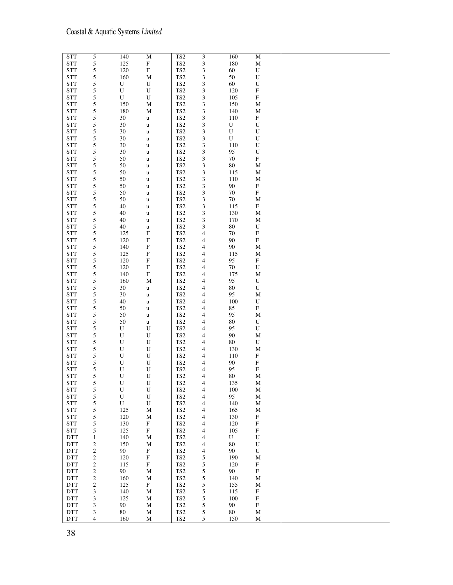| <b>STT</b>           | 5              | 140       | $\mathbf M$               | TS <sub>2</sub>      | 3                           | 160       | M                         |  |
|----------------------|----------------|-----------|---------------------------|----------------------|-----------------------------|-----------|---------------------------|--|
| <b>STT</b>           | 5              | 125       | $\boldsymbol{\mathrm{F}}$ | TS <sub>2</sub>      | $\ensuremath{\mathfrak{Z}}$ | 180       | $\mathbf M$               |  |
| <b>STT</b>           | 5              | 120       | $\mathbf F$               | $\operatorname{TS2}$ | 3                           | 60        | ${\bf U}$                 |  |
| <b>STT</b>           | 5              | 160       | $\mathbf M$               | TS <sub>2</sub>      | 3                           | 50        | $\mathbf U$               |  |
| <b>STT</b>           | 5              | U         | ${\bf U}$                 | TS <sub>2</sub>      | 3                           | 60        | $\mathbf U$               |  |
| <b>STT</b>           | 5              | ${\bf U}$ | ${\bf U}$                 | TS <sub>2</sub>      | 3                           | 120       | $\boldsymbol{\mathrm{F}}$ |  |
| <b>STT</b>           | 5              | U         | U                         | TS <sub>2</sub>      | 3                           | 105       | ${\bf F}$                 |  |
| <b>STT</b>           | 5              | 150       | M                         | TS <sub>2</sub>      | 3                           | 150       | M                         |  |
| <b>STT</b>           | 5              | 180       | M                         | TS <sub>2</sub>      | 3                           | 140       | M                         |  |
| <b>STT</b>           | 5              | 30        | u                         | TS <sub>2</sub>      | 3                           | 110       | $\mathbf F$               |  |
| <b>STT</b>           | 5              | 30        | $\mathbf u$               | TS <sub>2</sub>      | 3                           | U         | U                         |  |
| <b>STT</b>           | 5              | $30\,$    | $\mathbf u$               | $\operatorname{TS2}$ | 3                           | U         | ${\bf U}$                 |  |
| <b>STT</b>           | 5              | 30        | $\mathbf u$               | TS <sub>2</sub>      | 3                           | ${\bf U}$ | $\mathbf U$               |  |
| <b>STT</b>           | 5              | $30\,$    | $\mathbf u$               | TS <sub>2</sub>      | 3                           | 110       | ${\bf U}$                 |  |
| <b>STT</b>           | 5              | 30        | u                         | TS <sub>2</sub>      | 3                           | 95        | ${\bf U}$                 |  |
| <b>STT</b>           | 5              | 50        | $\mathbf u$               | TS <sub>2</sub>      | 3                           | 70        | ${\bf F}$                 |  |
| <b>STT</b>           | 5              | 50        | $\mathbf u$               | TS <sub>2</sub>      | 3                           | 80        | M                         |  |
| <b>STT</b>           | 5              | 50        | $\mathbf u$               | TS <sub>2</sub>      | 3                           | 115       | M                         |  |
| <b>STT</b>           | 5              | 50        | $\mathbf u$               | TS <sub>2</sub>      | $\ensuremath{\mathfrak{Z}}$ | 110       | M                         |  |
| <b>STT</b>           | 5              | $50\,$    | $\mathbf u$               | TS <sub>2</sub>      | 3                           | 90        | $\mathbf F$               |  |
| <b>STT</b>           | 5              | 50        | u                         | TS <sub>2</sub>      | 3                           | $70\,$    | ${\bf F}$                 |  |
| <b>STT</b>           | 5              | 50        | u                         | TS <sub>2</sub>      | 3                           | 70        | М                         |  |
| <b>STT</b>           | 5              | 40        | u                         | TS <sub>2</sub>      | 3                           | 115       | ${\rm F}$                 |  |
| <b>STT</b>           | 5              | 40        | $\mathbf u$               | TS <sub>2</sub>      | 3                           | 130       | М                         |  |
| <b>STT</b>           | 5              | 40        | u                         | TS <sub>2</sub>      | 3                           | 170       | M                         |  |
| <b>STT</b>           | 5              | 40        | $\mathbf u$               | TS <sub>2</sub>      | 3                           | $80\,$    | ${\bf U}$                 |  |
| <b>STT</b>           | 5              | 125       | $\mathbf F$               | $\operatorname{TS2}$ | $\overline{\mathcal{A}}$    | 70        | $\mathbf F$               |  |
| <b>STT</b>           | 5              | 120       | $\boldsymbol{\mathrm{F}}$ | TS <sub>2</sub>      | $\overline{\mathcal{A}}$    | 90        | ${\bf F}$                 |  |
| <b>STT</b>           | 5              | 140       | $\mathbf F$               | TS <sub>2</sub>      | 4                           | 90        | M                         |  |
| <b>STT</b>           | 5              | 125       | $\mathbf F$               | TS <sub>2</sub>      | $\overline{\mathcal{A}}$    | 115       | M                         |  |
| <b>STT</b>           | 5              | 120       | $\boldsymbol{\mathrm{F}}$ | TS <sub>2</sub>      | $\overline{\mathcal{A}}$    | 95        | $\mathbf F$               |  |
| <b>STT</b>           | 5              | 120       | $\mathbf F$               | TS <sub>2</sub>      | $\overline{\mathcal{A}}$    | 70        | U                         |  |
| <b>STT</b>           | 5              | 140       | $\boldsymbol{\mathrm{F}}$ | TS <sub>2</sub>      | 4                           | 175       | M                         |  |
| <b>STT</b>           | 5              | 160       | M                         | TS <sub>2</sub>      | $\overline{\mathcal{A}}$    | 95        | U                         |  |
| <b>STT</b>           | 5              | 30        | $\mathbf u$               | TS <sub>2</sub>      | 4                           | $80\,$    | U                         |  |
| <b>STT</b>           | 5              | 30        | u                         | TS <sub>2</sub>      | $\overline{\mathcal{A}}$    | 95        | M                         |  |
| <b>STT</b>           | 5              | 40        | u                         | TS <sub>2</sub>      | 4                           | 100       | U                         |  |
| <b>STT</b>           | 5              | 50        | u                         | TS <sub>2</sub>      | 4                           | 85        | $\boldsymbol{\mathrm{F}}$ |  |
| <b>STT</b>           | 5              | 50        | u                         | TS <sub>2</sub>      | 4                           | 95        | M                         |  |
| <b>STT</b>           | 5              | 50        | $\mathbf u$               | TS <sub>2</sub>      | $\overline{\mathcal{A}}$    | 80        | ${\bf U}$                 |  |
| <b>STT</b>           | 5              | ${\bf U}$ | $\mathbf U$               | TS <sub>2</sub>      | 4                           | 95        | U                         |  |
| <b>STT</b>           | 5              | ${\bf U}$ | ${\bf U}$                 | TS <sub>2</sub>      | $\overline{\mathcal{A}}$    | 90        | $\mathbf M$               |  |
| <b>STT</b>           | 5              | ${\bf U}$ | ${\bf U}$                 | TS <sub>2</sub>      | 4                           | $80\,$    | U                         |  |
| <b>STT</b>           | 5              | ${\bf U}$ | ${\bf U}$                 | TS <sub>2</sub>      | 4                           | 130       | M                         |  |
| <b>STT</b>           | 5              | ${\bf U}$ | ${\bf U}$                 | TS <sub>2</sub>      | 4                           | 110       | ${\bf F}$                 |  |
| <b>STT</b>           | 5              | ${\bf U}$ | ${\bf U}$                 | TS <sub>2</sub>      | 4                           | 90        | ${\bf F}$                 |  |
| <b>STT</b>           | 5              | ${\bf U}$ | ${\bf U}$                 | TS <sub>2</sub>      | 4                           | 95        | $\mathbf F$               |  |
| <b>STT</b>           | 5              | ${\bf U}$ | U                         | TS <sub>2</sub>      | 4                           | 80        | M                         |  |
| $\operatorname{STT}$ | 5              | U         | U                         | TS <sub>2</sub>      | 4                           | 135       | M                         |  |
| <b>STT</b>           | $\mathfrak s$  | ${\bf U}$ | ${\bf U}$                 | TS <sub>2</sub>      | 4                           | 100       | M                         |  |
| <b>STT</b>           | 5              | ${\bf U}$ | ${\bf U}$                 | TS <sub>2</sub>      | $\overline{\mathcal{A}}$    | 95        | M                         |  |
| $\operatorname{STT}$ | 5              | U         | ${\bf U}$                 | TS <sub>2</sub>      | $\overline{\mathcal{A}}$    | 140       | $\mathbf M$               |  |
| <b>STT</b>           | $\mathfrak s$  | 125       | М                         | TS <sub>2</sub>      | $\overline{\mathcal{A}}$    | 165       | М                         |  |
| $\operatorname{STT}$ | 5              | 120       | $\mathbf M$               | TS <sub>2</sub>      | 4                           | 130       | $\mathbf F$               |  |
| <b>STT</b>           | $\mathfrak s$  | 130       | $\mathbf{F}$              | TS <sub>2</sub>      | $\overline{\mathcal{A}}$    | 120       | $\mathbf F$               |  |
| $\operatorname{STT}$ | 5              | 125       | $\mathbf F$               | TS <sub>2</sub>      | $\overline{\mathcal{A}}$    | 105       | ${\bf F}$                 |  |
| $\operatorname{DTT}$ | $\mathbf{1}$   | 140       | $\mathbf M$               | TS <sub>2</sub>      | $\overline{\mathcal{A}}$    | U         | ${\bf U}$                 |  |
| $DTT$                | $\sqrt{2}$     | 150       | $\mathbf M$               | TS <sub>2</sub>      | 4                           | $80\,$    | U                         |  |
| $\operatorname{DTT}$ | $\sqrt{2}$     | 90        | $\mathbf F$               | TS <sub>2</sub>      | $\overline{4}$              | 90        | U                         |  |
| <b>DTT</b>           | $\mathbf{2}$   | 120       | $\mathbf F$               | TS <sub>2</sub>      | 5                           | 190       | М                         |  |
| <b>DTT</b>           | $\sqrt{2}$     | 115       | ${\bf F}$                 | TS <sub>2</sub>      | 5                           | 120       | $\mathbf{F}$              |  |
| <b>DTT</b>           | $\sqrt{2}$     | 90        | М                         | TS <sub>2</sub>      | 5                           | 90        | $\mathbf F$               |  |
| <b>DTT</b>           | $\sqrt{2}$     | 160       | $\mathbf M$               | TS <sub>2</sub>      | 5                           | 140       | $\mathbf M$               |  |
| <b>DTT</b>           | $\mathfrak{2}$ | 125       | $\mathbf F$               | TS <sub>2</sub>      | $\sqrt{5}$                  | 155       | M                         |  |
| $DTT$                | $\mathfrak{Z}$ | 140       | $\mathbf M$               | TS <sub>2</sub>      | $\sqrt{5}$                  | 115       | $\mathbf F$               |  |
| <b>DTT</b>           | 3              | 125       | М                         | TS <sub>2</sub>      | $\sqrt{5}$                  | 100       | $\boldsymbol{\mathrm{F}}$ |  |
| <b>DTT</b>           | 3              | 90        | $\mathbf M$               | TS <sub>2</sub>      | $\sqrt{5}$                  | 90        | $\boldsymbol{\mathrm{F}}$ |  |
| <b>DTT</b>           | 3              | 80        | М                         | TS <sub>2</sub>      | $\sqrt{5}$                  | 80        | М                         |  |
| <b>DTT</b>           | 4              | 160       | $\mathbf M$               | TS <sub>2</sub>      | $\mathfrak s$               | 150       | M                         |  |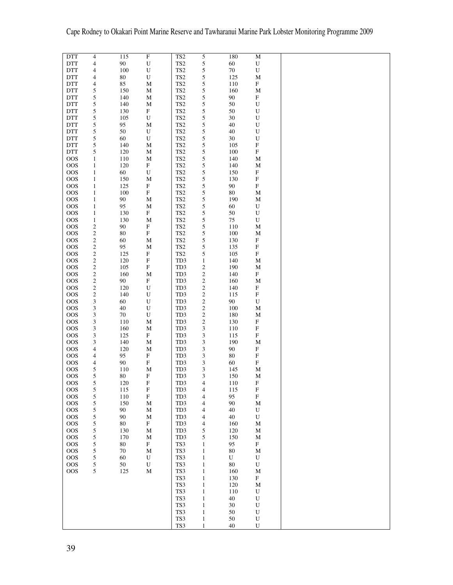| <b>DTT</b> | 4                        | 115    | $\overline{F}$            | TS <sub>2</sub>      | 5                            | 180      | $\mathbf M$               |  |
|------------|--------------------------|--------|---------------------------|----------------------|------------------------------|----------|---------------------------|--|
|            |                          |        |                           |                      |                              |          |                           |  |
| <b>DTT</b> | $\overline{\mathcal{A}}$ | $90\,$ | $\mathbf U$               | TS <sub>2</sub>      | 5                            | 60       | ${\bf U}$                 |  |
|            |                          | 100    |                           | TS <sub>2</sub>      |                              | $70\,$   | ${\bf U}$                 |  |
| <b>DTT</b> | 4                        |        | ${\bf U}$                 |                      | 5                            |          |                           |  |
| <b>DTT</b> | 4                        | $80\,$ | ${\bf U}$                 | TS <sub>2</sub>      | 5                            | 125      | $\mathbf M$               |  |
|            |                          |        |                           |                      |                              |          |                           |  |
| <b>DTT</b> | 4                        | 85     | $\mathbf M$               | TS <sub>2</sub>      | 5                            | 110      | ${\bf F}$                 |  |
|            |                          |        |                           |                      |                              |          |                           |  |
| <b>DTT</b> | 5                        | 150    | $\mathbf M$               | TS <sub>2</sub>      | 5                            | 160      | $\mathbf M$               |  |
| <b>DTT</b> | 5                        | 140    | M                         | TS <sub>2</sub>      | 5                            | 90       | $\mathbf F$               |  |
|            |                          |        |                           |                      |                              |          |                           |  |
| <b>DTT</b> | 5                        | 140    | M                         | TS <sub>2</sub>      | 5                            | 50       | ${\bf U}$                 |  |
|            |                          |        |                           |                      |                              |          |                           |  |
| <b>DTT</b> | 5                        | 130    | ${\bf F}$                 | TS <sub>2</sub>      | 5                            | 50       | ${\bf U}$                 |  |
| <b>DTT</b> | 5                        | 105    | U                         | $\operatorname{TS2}$ |                              | 30       | U                         |  |
|            |                          |        |                           |                      | 5                            |          |                           |  |
| <b>DTT</b> | 5                        | 95     | $\mathbf M$               | TS <sub>2</sub>      | 5                            | 40       | ${\bf U}$                 |  |
|            |                          |        |                           |                      |                              |          |                           |  |
| <b>DTT</b> | 5                        | 50     | U                         | TS <sub>2</sub>      | 5                            | 40       | ${\bf U}$                 |  |
| <b>DTT</b> | 5                        | 60     | U                         | TS <sub>2</sub>      | 5                            | 30       | ${\bf U}$                 |  |
|            |                          |        |                           |                      |                              |          |                           |  |
| <b>DTT</b> | 5                        | 140    | $\mathbf M$               | TS <sub>2</sub>      | 5                            | 105      | $\mathbf F$               |  |
|            |                          |        |                           |                      |                              |          |                           |  |
| <b>DTT</b> | 5                        | 120    | $\mathbf M$               | TS <sub>2</sub>      | 5                            | 100      | $\mathbf F$               |  |
| <b>OOS</b> | 1                        | 110    | M                         | TS <sub>2</sub>      | 5                            | 140      | M                         |  |
|            |                          |        |                           |                      |                              |          |                           |  |
| <b>OOS</b> | 1                        | 120    | ${\bf F}$                 | TS <sub>2</sub>      | 5                            | 140      | M                         |  |
|            |                          |        |                           |                      |                              |          |                           |  |
| <b>OOS</b> | 1                        | 60     | U                         | TS <sub>2</sub>      | 5                            | 150      | ${\bf F}$                 |  |
| <b>OOS</b> | $\mathbf{1}$             | 150    | $\mathbf M$               | TS <sub>2</sub>      | 5                            | 130      | $\mathbf F$               |  |
|            |                          |        |                           |                      |                              |          |                           |  |
| <b>OOS</b> | $\mathbf{1}$             | 125    | $\boldsymbol{\mathrm{F}}$ | TS <sub>2</sub>      | 5                            | 90       | ${\bf F}$                 |  |
|            |                          |        |                           |                      |                              |          |                           |  |
| <b>OOS</b> | $\mathbf{1}$             | 100    | ${\bf F}$                 | TS <sub>2</sub>      | 5                            | $80\,$   | $\mathbf M$               |  |
| <b>OOS</b> | $\mathbf{1}$             | 90     | $\mathbf M$               | TS <sub>2</sub>      | 5                            | 190      | М                         |  |
|            |                          |        |                           |                      |                              |          |                           |  |
| <b>OOS</b> | $\mathbf{1}$             | 95     | $\mathbf M$               | TS <sub>2</sub>      | 5                            | 60       | ${\bf U}$                 |  |
| <b>OOS</b> | $\mathbf{1}$             | 130    | ${\bf F}$                 | TS <sub>2</sub>      | 5                            | 50       |                           |  |
|            |                          |        |                           |                      |                              |          | ${\bf U}$                 |  |
| <b>OOS</b> | 1                        | 130    | $\mathbf M$               | TS <sub>2</sub>      | 5                            | 75       | ${\bf U}$                 |  |
|            |                          |        |                           |                      |                              |          |                           |  |
| <b>OOS</b> | $\boldsymbol{2}$         | 90     | $\boldsymbol{\mathrm{F}}$ | TS <sub>2</sub>      | 5                            | 110      | M                         |  |
| <b>OOS</b> | $\boldsymbol{2}$         | 80     | ${\bf F}$                 | TS <sub>2</sub>      | 5                            | 100      | M                         |  |
|            |                          |        |                           |                      |                              |          |                           |  |
| <b>OOS</b> | $\boldsymbol{2}$         | $60\,$ | $\mathbf M$               | TS <sub>2</sub>      | 5                            | 130      | $\mathbf F$               |  |
|            |                          |        |                           |                      |                              |          |                           |  |
| <b>OOS</b> | $\boldsymbol{2}$         | 95     | $\mathbf M$               | TS <sub>2</sub>      | 5                            | 135      | $\mathbf F$               |  |
| <b>OOS</b> | $\overline{c}$           | 125    | $\mathbf F$               | TS <sub>2</sub>      | 5                            | 105      | $\mathbf F$               |  |
|            |                          |        |                           |                      |                              |          |                           |  |
| <b>OOS</b> | $\boldsymbol{2}$         | 120    | $\mathbf F$               | TD3                  | $\mathbf{1}$                 | 140      | M                         |  |
|            |                          |        |                           |                      |                              |          |                           |  |
| <b>OOS</b> | $\boldsymbol{2}$         | 105    | ${\bf F}$                 | TD3                  | $\boldsymbol{2}$             | 190      | $\mathbf M$               |  |
| <b>OOS</b> | 2                        | 160    | M                         | TD3                  | $\sqrt{2}$                   | 140      | ${\bf F}$                 |  |
|            |                          |        |                           |                      |                              |          |                           |  |
| <b>OOS</b> | $\boldsymbol{2}$         | 90     | $\mathbf F$               | TD3                  | $\boldsymbol{2}$             | 160      | $\mathbf M$               |  |
|            |                          |        |                           |                      |                              |          |                           |  |
| <b>OOS</b> | $\boldsymbol{2}$         | 120    | U                         | TD3                  | $\sqrt{2}$                   | 140      | $\mathbf F$               |  |
| <b>OOS</b> | $\boldsymbol{2}$         | 140    | ${\bf U}$                 | TD3                  | $\sqrt{2}$                   | 115      | $\mathbf F$               |  |
|            |                          |        |                           |                      |                              |          |                           |  |
| <b>OOS</b> | 3                        | 60     | ${\bf U}$                 | TD3                  | $\boldsymbol{2}$             | 90       | ${\bf U}$                 |  |
|            |                          |        |                           |                      |                              |          |                           |  |
| <b>OOS</b> | 3                        | 40     | ${\bf U}$                 | TD3                  | $\sqrt{2}$                   | 100      | $\mathbf M$               |  |
| <b>OOS</b> | 3                        | $70\,$ | ${\bf U}$                 | TD3                  | $\boldsymbol{2}$             | 180      | М                         |  |
|            |                          |        |                           |                      |                              |          |                           |  |
| <b>OOS</b> | 3                        | 110    | $\mathbf M$               | TD3                  | $\sqrt{2}$                   | 130      | $\mathbf F$               |  |
|            |                          |        |                           |                      |                              |          |                           |  |
| <b>OOS</b> | $\mathfrak{Z}$           | 160    | $\mathbf M$               | TD3                  | $\ensuremath{\mathfrak{Z}}$  | 110      | $\boldsymbol{\mathrm{F}}$ |  |
| <b>OOS</b> | 3                        | 125    | $\mathbf F$               | TD3                  | 3                            | 115      | $\mathbf F$               |  |
|            |                          |        |                           |                      |                              |          |                           |  |
| <b>OOS</b> | 3                        | 140    | $\mathbf M$               | TD3                  | $\ensuremath{\mathfrak{Z}}$  | 190      | $\mathbf M$               |  |
| <b>OOS</b> | 4                        | 120    | $\mathbf M$               | TD3                  | $\sqrt{3}$                   | 90       | $\mathbf F$               |  |
|            |                          |        |                           |                      |                              |          |                           |  |
| <b>OOS</b> | 4                        | 95     | $\mathbf F$               | TD3                  | $\sqrt{3}$                   | $80\,$   | $\mathbf F$               |  |
|            |                          |        |                           |                      |                              |          |                           |  |
| <b>OOS</b> | 4                        | 90     | ${\bf F}$                 | TD3                  | 3                            | 60       | $\mathbf F$               |  |
| <b>OOS</b> | 5                        | 110    | $\mathbf M$               | TD3                  | 3                            | 145      | $\mathbf M$               |  |
|            |                          |        |                           |                      |                              |          |                           |  |
| <b>OOS</b> | 5                        | $80\,$ | $\boldsymbol{\mathrm{F}}$ | TD3                  | 3                            | 150      | М                         |  |
|            |                          |        |                           |                      |                              |          |                           |  |
| <b>OOS</b> | 5                        | 120    | F                         | TD3                  | 4                            | 110      | F                         |  |
| <b>OOS</b> | $\sqrt{5}$               | 115    | ${\bf F}$                 | TD3                  | 4                            | 115      | $\boldsymbol{\mathrm{F}}$ |  |
|            |                          |        |                           |                      |                              |          |                           |  |
| $\rm{OOS}$ | $\sqrt{5}$               | 110    | $\mathbf F$               | TD3                  | $\overline{\mathcal{A}}$     | 95       | $\mathbf F$               |  |
| <b>OOS</b> | 5                        | 150    | M                         | TD3                  | $\overline{\mathcal{A}}$     | 90       | М                         |  |
|            |                          |        |                           |                      |                              |          |                           |  |
| <b>OOS</b> | 5                        | 90     | $\mathbf M$               | TD3                  | 4                            | 40       | U                         |  |
| <b>OOS</b> | 5                        | 90     | M                         | TD3                  |                              | 40       | U                         |  |
|            |                          |        |                           |                      | $\overline{4}$               |          |                           |  |
| <b>OOS</b> | 5                        | 80     | $\boldsymbol{\mathrm{F}}$ | TD3                  | 4                            | 160      | М                         |  |
|            |                          |        |                           |                      |                              |          |                           |  |
| <b>OOS</b> | 5                        | 130    | $\mathbf M$               | TD3                  | 5                            | 120      | M                         |  |
| <b>OOS</b> | 5                        | 170    | М                         | TD3                  | 5                            | 150      | М                         |  |
|            |                          |        |                           |                      |                              |          |                           |  |
| <b>OOS</b> | 5                        | 80     | $\mathbf F$               | TS3                  | $\mathbf{1}$                 | 95       | $\mathbf F$               |  |
|            |                          |        |                           |                      |                              |          |                           |  |
| <b>OOS</b> | 5                        | 70     | $\mathbf M$               | TS3                  | $\mathbf{1}$                 | 80       | М                         |  |
| <b>OOS</b> |                          |        | ${\bf U}$                 | TS3                  | $\mathbf{1}$                 | U        | U                         |  |
|            |                          |        |                           |                      |                              |          |                           |  |
|            | 5                        | 60     |                           |                      |                              |          | U                         |  |
| <b>OOS</b> | 5                        | 50     | ${\bf U}$                 | TS3                  | $\mathbf{1}$                 | 80       |                           |  |
|            |                          |        |                           |                      |                              |          |                           |  |
| <b>OOS</b> | $\mathfrak s$            | 125    | $\mathbf M$               | TS3                  | $\mathbf{1}$                 | 160      | M                         |  |
|            |                          |        |                           |                      |                              |          |                           |  |
|            |                          |        |                           | TS3                  | $\mathbf{1}$                 | 130      | F                         |  |
|            |                          |        |                           | TS3                  | $\mathbf{1}$                 | 120      | $\mathbf M$               |  |
|            |                          |        |                           |                      |                              |          |                           |  |
|            |                          |        |                           | TS3                  | $\mathbf{1}$                 | 110      | ${\bf U}$                 |  |
|            |                          |        |                           |                      | $\mathbf{1}$                 |          | ${\bf U}$                 |  |
|            |                          |        |                           | TS3                  |                              | $40\,$   |                           |  |
|            |                          |        |                           | TS3                  | $\mathbf{1}$                 | 30       | ${\bf U}$                 |  |
|            |                          |        |                           |                      | $\mathbf{1}$                 | 50       | ${\bf U}$                 |  |
|            |                          |        |                           | TS3                  |                              |          |                           |  |
|            |                          |        |                           | TS3<br>TS3           | $\mathbf{1}$<br>$\mathbf{1}$ | 50<br>40 | ${\bf U}$<br>U            |  |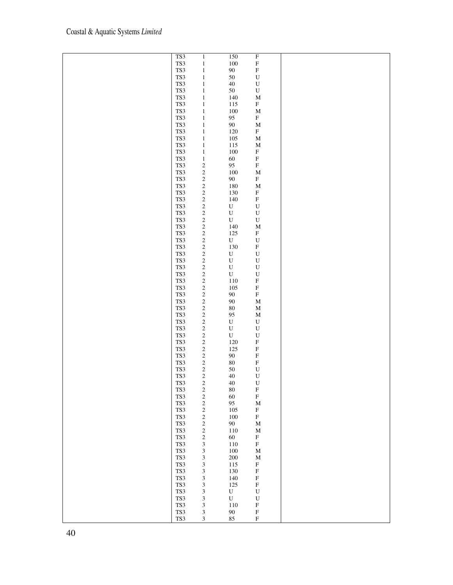| TS3 | $\mathbf{1}$                                    | 150         | $\mathbf F$ |  |
|-----|-------------------------------------------------|-------------|-------------|--|
|     |                                                 |             |             |  |
| TS3 | $\,1$                                           | $100\,$     | $\mathbf F$ |  |
| TS3 | $\,1$                                           | $90\,$      | ${\bf F}$   |  |
| TS3 |                                                 | $50\,$      | $\mathbf U$ |  |
|     | $\,1$                                           |             |             |  |
| TS3 | $\,1$                                           | $40\,$      | ${\bf U}$   |  |
| TS3 | $\mathbf{1}$                                    | $50\,$      | $\mathbf U$ |  |
|     |                                                 |             |             |  |
| TS3 | $\mathbf{1}$                                    | 140         | $\mathbf M$ |  |
| TS3 | $\mathbf{1}$                                    | 115         | ${\bf F}$   |  |
|     |                                                 |             |             |  |
| TS3 | $\,1$                                           | 100         | $\mathbf M$ |  |
| TS3 | $\,1$                                           | 95          | ${\bf F}$   |  |
| TS3 |                                                 | $90\,$      | $\mathbf M$ |  |
|     | $\,1$                                           |             |             |  |
| TS3 | $\,1$                                           | 120         | ${\bf F}$   |  |
| TS3 | $\,1$                                           | 105         | $\mathbf M$ |  |
|     |                                                 |             |             |  |
| TS3 | $\,1$                                           | 115         | $\mathbf M$ |  |
| TS3 | $\,1$                                           | 100         | ${\bf F}$   |  |
|     |                                                 |             |             |  |
| TS3 | $\,1$                                           | 60          | $\mathbf F$ |  |
| TS3 |                                                 | 95          | ${\bf F}$   |  |
| TS3 |                                                 | 100         | $\mathbf M$ |  |
|     |                                                 |             |             |  |
| TS3 |                                                 | $90\,$      | ${\bf F}$   |  |
| TS3 |                                                 | 180         | $\mathbf M$ |  |
|     | $\begin{array}{c} 2 \\ 2 \\ 2 \\ 2 \end{array}$ |             |             |  |
| TS3 |                                                 | 130         | ${\bf F}$   |  |
| TS3 |                                                 | 140         | $\mathbf F$ |  |
| TS3 | $\begin{array}{c} 2 \\ 2 \\ 2 \end{array}$      | ${\bf U}$   |             |  |
|     |                                                 |             | ${\bf U}$   |  |
| TS3 |                                                 | ${\bf U}$   | ${\bf U}$   |  |
| TS3 |                                                 | ${\bf U}$   | ${\bf U}$   |  |
|     |                                                 |             |             |  |
| TS3 |                                                 | 140         | $\mathbf M$ |  |
| TS3 |                                                 | 125         | ${\bf F}$   |  |
|     | 222222222222                                    |             |             |  |
| TS3 |                                                 | ${\bf U}$   | $\mathbf U$ |  |
| TS3 |                                                 | 130         | ${\bf F}$   |  |
| TS3 |                                                 | $\mathbf U$ | $\mathbf U$ |  |
|     |                                                 |             |             |  |
| TS3 |                                                 | $\mathbf U$ | $\mathbf U$ |  |
| TS3 |                                                 | $\mathbf U$ | $\mathbf U$ |  |
|     |                                                 |             |             |  |
| TS3 |                                                 | $\mathbf U$ | $\mathbf U$ |  |
| TS3 |                                                 | $110\,$     | $\mathbf F$ |  |
|     |                                                 |             | ${\bf F}$   |  |
| TS3 |                                                 | 105         |             |  |
| TS3 |                                                 | $90\,$      | ${\bf F}$   |  |
| TS3 |                                                 | $90\,$      | $\mathbf M$ |  |
|     |                                                 |             |             |  |
| TS3 |                                                 | $80\,$      | $\mathbf M$ |  |
| TS3 |                                                 | 95          | $\mathbf M$ |  |
|     |                                                 |             |             |  |
| TS3 |                                                 | ${\bf U}$   | $\mathbf U$ |  |
| TS3 |                                                 | $\mathbf U$ | $\mathbf U$ |  |
|     |                                                 |             |             |  |
| TS3 |                                                 | $\mathbf U$ | $\mathbf U$ |  |
| TS3 |                                                 | 120         | $\mathbf F$ |  |
| TS3 |                                                 | 125         | ${\bf F}$   |  |
|     |                                                 |             |             |  |
| TS3 |                                                 | $90\,$      | ${\bf F}$   |  |
| TS3 | 22222222222                                     | $80\,$      | ${\bf F}$   |  |
|     |                                                 |             |             |  |
| TS3 |                                                 | $50\,$      | $\mathbf U$ |  |
| TS3 |                                                 | $40\,$      | $\mathbf U$ |  |
| TS3 | $\overline{\mathbf{c}}$                         | $40\,$      | $\mathbf U$ |  |
|     |                                                 |             |             |  |
| TS3 | $\overline{\mathbf{c}}$                         | $80\,$      | $\mathbf F$ |  |
| TS3 | $\overline{\mathbf{c}}$                         | $60\,$      | ${\bf F}$   |  |
|     |                                                 |             |             |  |
| TS3 |                                                 | 95          | $\mathbf M$ |  |
| TS3 | $\frac{2}{2}$                                   | 105         | $\mathbf F$ |  |
| TS3 | $\overline{\mathbf{c}}$                         | 100         | ${\bf F}$   |  |
|     |                                                 |             |             |  |
| TS3 | $\overline{\mathbf{c}}$                         | 90          | $\mathbf M$ |  |
| TS3 |                                                 | 110         | $\mathbf M$ |  |
|     | $\frac{2}{2}$                                   |             |             |  |
| TS3 |                                                 | 60          | ${\bf F}$   |  |
| TS3 | 3                                               | $110\,$     | ${\bf F}$   |  |
| TS3 |                                                 | $100\,$     | $\mathbf M$ |  |
|     | $3333$<br>$333$                                 |             |             |  |
| TS3 |                                                 | $200\,$     | $\mathbf M$ |  |
| TS3 |                                                 | 115         | $\mathbf F$ |  |
|     |                                                 |             |             |  |
| TS3 |                                                 | 130         | ${\bf F}$   |  |
| TS3 |                                                 | 140         | ${\bf F}$   |  |
|     |                                                 | 125         | ${\bf F}$   |  |
| TS3 |                                                 |             |             |  |
| TS3 | $\mathfrak{Z}$                                  | ${\bf U}$   | $\mathbf U$ |  |
| TS3 | $\mathfrak{Z}$                                  | U           | ${\bf U}$   |  |
|     |                                                 |             |             |  |
| TS3 | 3                                               | $110\,$     | $\mathbf F$ |  |
| TS3 | $\mathfrak{Z}$                                  | $90\,$      | ${\bf F}$   |  |
|     |                                                 |             |             |  |
| TS3 | $\mathfrak 3$                                   | 85          | ${\bf F}$   |  |